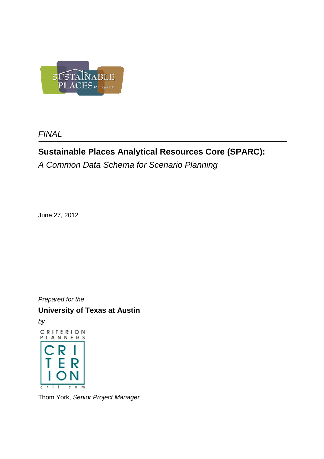

**FINAL** 

# **Sustainable Places Analytical Resources Core (SPARC):**

A Common Data Schema for Scenario Planning

June 27, 2012

Prepared for the

**University of Texas at Austin** 

by



Thom York, Senior Project Manager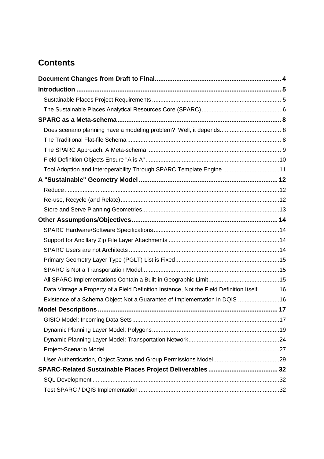# **Contents**

| Tool Adoption and Interoperability Through SPARC Template Engine 11                       |  |
|-------------------------------------------------------------------------------------------|--|
|                                                                                           |  |
|                                                                                           |  |
|                                                                                           |  |
|                                                                                           |  |
|                                                                                           |  |
|                                                                                           |  |
|                                                                                           |  |
|                                                                                           |  |
|                                                                                           |  |
|                                                                                           |  |
|                                                                                           |  |
| Data Vintage a Property of a Field Definition Instance, Not the Field Definition Itself16 |  |
| Existence of a Schema Object Not a Guarantee of Implementation in DQIS 16                 |  |
|                                                                                           |  |
|                                                                                           |  |
|                                                                                           |  |
|                                                                                           |  |
|                                                                                           |  |
|                                                                                           |  |
|                                                                                           |  |
|                                                                                           |  |
|                                                                                           |  |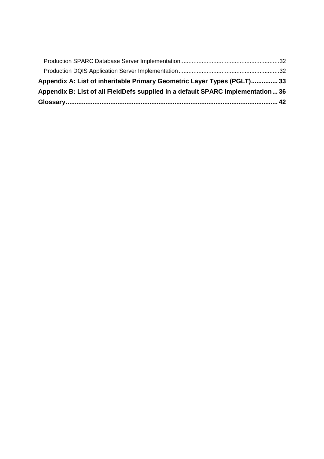| Appendix A: List of inheritable Primary Geometric Layer Types (PGLT) 33        |  |
|--------------------------------------------------------------------------------|--|
| Appendix B: List of all FieldDefs supplied in a default SPARC implementation36 |  |
|                                                                                |  |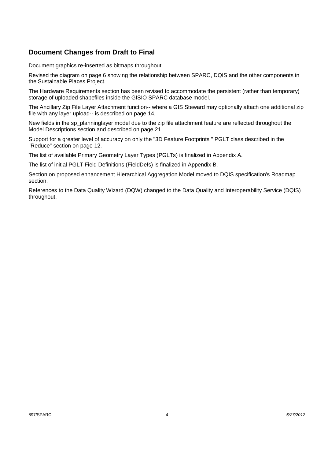# **Document Changes from Draft to Final**

Document graphics re-inserted as bitmaps throughout.

Revised the diagram on page 6 showing the relationship between SPARC, DQIS and the other components in the Sustainable Places Project.

The Hardware Requirements section has been revised to accommodate the persistent (rather than temporary) storage of uploaded shapefiles inside the GISIO SPARC database model.

The Ancillary Zip File Layer Attachment function-- where a GIS Steward may optionally attach one additional zip file with any layer upload-- is described on page 14.

New fields in the sp\_planninglayer model due to the zip file attachment feature are reflected throughout the Model Descriptions section and described on page 21.

Support for a greater level of accuracy on only the "3D Feature Footprints " PGLT class described in the "Reduce" section on page 12.

The list of available Primary Geometry Layer Types (PGLTs) is finalized in Appendix A.

The list of initial PGLT Field Definitions (FieldDefs) is finalized in Appendix B.

Section on proposed enhancement Hierarchical Aggregation Model moved to DQIS specification's Roadmap section.

References to the Data Quality Wizard (DQW) changed to the Data Quality and Interoperability Service (DQIS) throughout.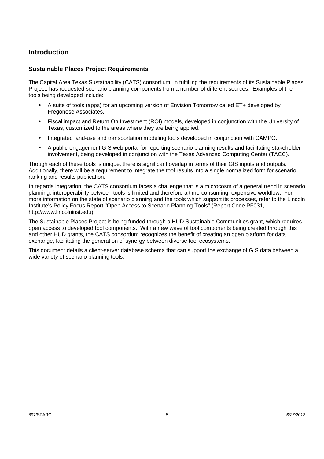# **Introduction**

#### **Sustainable Places Project Requirements**

The Capital Area Texas Sustainability (CATS) consortium, in fulfilling the requirements of its Sustainable Places Project, has requested scenario planning components from a number of different sources. Examples of the tools being developed include:

- A suite of tools (apps) for an upcoming version of Envision Tomorrow called ET+ developed by Fregonese Associates.
- Fiscal impact and Return On Investment (ROI) models, developed in conjunction with the University of Texas, customized to the areas where they are being applied.
- Integrated land-use and transportation modeling tools developed in conjunction with CAMPO.
- A public-engagement GIS web portal for reporting scenario planning results and facilitating stakeholder involvement, being developed in conjunction with the Texas Advanced Computing Center (TACC).

Though each of these tools is unique, there is significant overlap in terms of their GIS inputs and outputs. Additionally, there will be a requirement to integrate the tool results into a single normalized form for scenario ranking and results publication.

In regards integration, the CATS consortium faces a challenge that is a microcosm of a general trend in scenario planning: interoperability between tools is limited and therefore a time-consuming, expensive workflow. For more information on the state of scenario planning and the tools which support its processes, refer to the Lincoln Institute's Policy Focus Report "Open Access to Scenario Planning Tools" (Report Code PF031, http://www.lincolninst.edu).

The Sustainable Places Project is being funded through a HUD Sustainable Communities grant, which requires open access to developed tool components. With a new wave of tool components being created through this and other HUD grants, the CATS consortium recognizes the benefit of creating an open platform for data exchange, facilitating the generation of synergy between diverse tool ecosystems.

This document details a client-server database schema that can support the exchange of GIS data between a wide variety of scenario planning tools.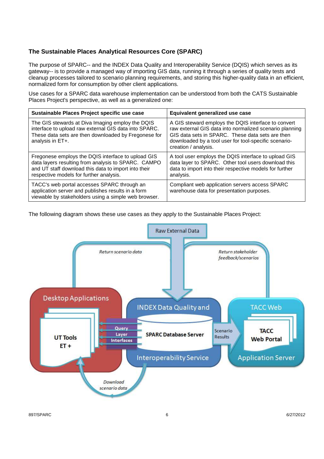## **The Sustainable Places Analytical Resources Core (SPARC)**

The purpose of SPARC-- and the INDEX Data Quality and Interoperability Service (DQIS) which serves as its gateway-- is to provide a managed way of importing GIS data, running it through a series of quality tests and cleanup processes tailored to scenario planning requirements, and storing this higher-quality data in an efficient, normalized form for consumption by other client applications.

Use cases for a SPARC data warehouse implementation can be understood from both the CATS Sustainable Places Project's perspective, as well as a generalized one:

| Sustainable Places Project specific use case                                                                                                                                                                 | Equivalent generalized use case                                                                                                                                                                                                                     |
|--------------------------------------------------------------------------------------------------------------------------------------------------------------------------------------------------------------|-----------------------------------------------------------------------------------------------------------------------------------------------------------------------------------------------------------------------------------------------------|
| The GIS stewards at Diva Imaging employ the DQIS<br>interface to upload raw external GIS data into SPARC.<br>These data sets are then downloaded by Fregonese for<br>analysis in ET+.                        | A GIS steward employs the DQIS interface to convert<br>raw external GIS data into normalized scenario planning<br>GIS data sets in SPARC. These data sets are then<br>downloaded by a tool user for tool-specific scenario-<br>creation / analysis. |
| Fregonese employs the DQIS interface to upload GIS<br>data layers resulting from analysis to SPARC. CAMPO<br>and UT staff download this data to import into their<br>respective models for further analysis. | A tool user employs the DQIS interface to upload GIS<br>data layer to SPARC. Other tool users download this<br>data to import into their respective models for further<br>analysis.                                                                 |
| TACC's web portal accesses SPARC through an<br>application server and publishes results in a form<br>viewable by stakeholders using a simple web browser.                                                    | Compliant web application servers access SPARC<br>warehouse data for presentation purposes.                                                                                                                                                         |

The following diagram shows these use cases as they apply to the Sustainable Places Project:



897/SPARC 6/27/2012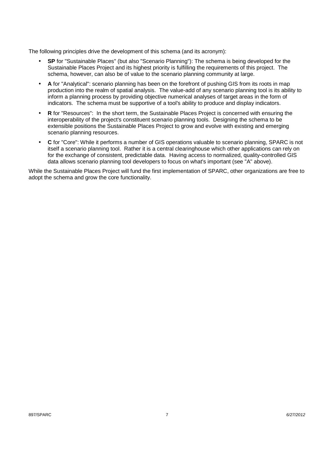The following principles drive the development of this schema (and its acronym):

- **SP** for "Sustainable Places" (but also "Scenario Planning"): The schema is being developed for the Sustainable Places Project and its highest priority is fulfilling the requirements of this project. The schema, however, can also be of value to the scenario planning community at large.
- **A** for "Analytical": scenario planning has been on the forefront of pushing GIS from its roots in map production into the realm of spatial analysis. The value-add of any scenario planning tool is its ability to inform a planning process by providing objective numerical analyses of target areas in the form of indicators. The schema must be supportive of a tool's ability to produce and display indicators.
- **R** for "Resources": In the short term, the Sustainable Places Project is concerned with ensuring the interoperability of the project's constituent scenario planning tools. Designing the schema to be extensible positions the Sustainable Places Project to grow and evolve with existing and emerging scenario planning resources.
- **C** for "Core": While it performs a number of GIS operations valuable to scenario planning, SPARC is not itself a scenario planning tool. Rather it is a central clearinghouse which other applications can rely on for the exchange of consistent, predictable data. Having access to normalized, quality-controlled GIS data allows scenario planning tool developers to focus on what's important (see "A" above).

While the Sustainable Places Project will fund the first implementation of SPARC, other organizations are free to adopt the schema and grow the core functionality.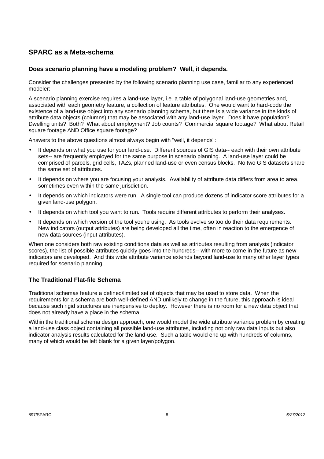# **SPARC as a Meta-schema**

### **Does scenario planning have a modeling problem? Well, it depends.**

Consider the challenges presented by the following scenario planning use case, familiar to any experienced modeler:

A scenario planning exercise requires a land-use layer, i.e. a table of polygonal land-use geometries and, associated with each geometry feature, a collection of feature attributes. One would want to hard-code the existence of a land-use object into any scenario planning schema, but there is a wide variance in the kinds of attribute data objects (columns) that may be associated with any land-use layer. Does it have population? Dwelling units? Both? What about employment? Job counts? Commercial square footage? What about Retail square footage AND Office square footage?

Answers to the above questions almost always begin with "well, it depends":

- It depends on what you use for your land-use. Different sources of GIS data-- each with their own attribute sets-- are frequently employed for the same purpose in scenario planning. A land-use layer could be comprised of parcels, grid cells, TAZs, planned land-use or even census blocks. No two GIS datasets share the same set of attributes.
- It depends on where you are focusing your analysis. Availability of attribute data differs from area to area, sometimes even within the same jurisdiction.
- It depends on which indicators were run. A single tool can produce dozens of indicator score attributes for a given land-use polygon.
- It depends on which tool you want to run. Tools require different attributes to perform their analyses.
- It depends on which version of the tool you're using. As tools evolve so too do their data requirements. New indicators (output attributes) are being developed all the time, often in reaction to the emergence of new data sources (input attributes).

When one considers both raw existing conditions data as well as attributes resulting from analysis (indicator scores), the list of possible attributes quickly goes into the hundreds-- with more to come in the future as new indicators are developed. And this wide attribute variance extends beyond land-use to many other layer types required for scenario planning.

# **The Traditional Flat-file Schema**

Traditional schemas feature a defined/limited set of objects that may be used to store data. When the requirements for a schema are both well-defined AND unlikely to change in the future, this approach is ideal because such rigid structures are inexpensive to deploy. However there is no room for a new data object that does not already have a place in the schema.

Within the traditional schema design approach, one would model the wide attribute variance problem by creating a land-use class object containing all possible land-use attributes, including not only raw data inputs but also indicator analysis results calculated for the land-use. Such a table would end up with hundreds of columns, many of which would be left blank for a given layer/polygon.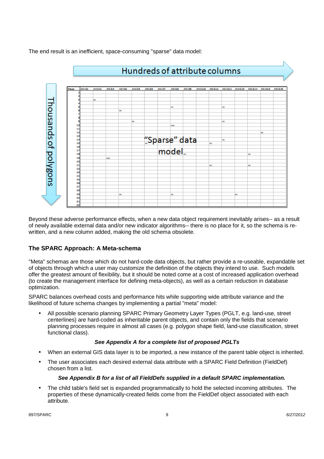The end result is an inefficient, space-consuming "sparse" data model:



Beyond these adverse performance effects, when a new data object requirement inevitably arises-- as a result of newly available external data and/or new indicator algorithms-- there is no place for it, so the schema is rewritten, and a new column added, making the old schema obsolete.

#### **The SPARC Approach: A Meta-schema**

"Meta" schemas are those which do not hard-code data objects, but rather provide a re-useable, expandable set of objects through which a user may customize the definition of the objects they intend to use. Such models offer the greatest amount of flexibility, but it should be noted come at a cost of increased application overhead (to create the management interface for defining meta-objects), as well as a certain reduction in database optimization.

SPARC balances overhead costs and performance hits while supporting wide attribute variance and the likelihood of future schema changes by implementing a partial "meta" model:

• All possible scenario planning SPARC Primary Geometry Layer Types (PGLT, e.g. land-use, street centerlines) are hard-coded as inheritable parent objects, and contain only the fields that scenario planning processes require in almost all cases (e.g. polygon shape field, land-use classification, street functional class).

#### **See Appendix A for a complete list of proposed PGLTs**

- When an external GIS data layer is to be imported, a new instance of the parent table object is inherited.
- The user associates each desired external data attribute with a SPARC Field Definition (FieldDef) chosen from a list.

#### **See Appendix B for a list of all FieldDefs supplied in a default SPARC implementation.**

• The child table's field set is expanded programmatically to hold the selected incoming attributes. The properties of these dynamically-created fields come from the FieldDef object associated with each attribute.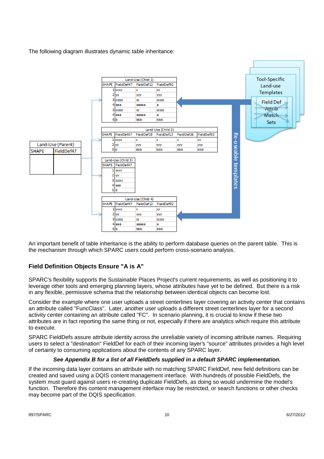The following diagram illustrates dynamic table inheritance:



An important benefit of table inheritance is the ability to perform database queries on the parent table. This is the mechanism through which SPARC users could perform cross-scenario analysis.

# **Field Definition Objects Ensure "A is A"**

SPARC's flexibility supports the Sustainable Places Project's current requirements, as well as positioning it to leverage other tools and emerging planning layers, whose attributes have yet to be defined. But there is a risk in any flexible, permissive schema that the relationship between identical objects can become lost.

Consider the example where one user uploads a street centerlines layer covering an activity center that contains an attribute called "FuncClass". Later, another user uploads a different street centerlines layer for a second activity center containing an attribute called "FC". In scenario planning, it is crucial to know if these two attributes are in fact reporting the same thing or not, especially if there are analytics which require this attribute to execute.

SPARC FieldDefs assure attribute identity across the unreliable variety of incoming attribute names. Requiring users to select a "destination" FieldDef for each of their incoming layer's "source" attributes provides a high level of certainty to consuming applications about the contents of any SPARC layer.

#### **See Appendix B for a list of all FieldDefs supplied in a default SPARC implementation.**

If the incoming data layer contains an attribute with no matching SPARC FieldDef, new field definitions can be created and saved using a DQIS content management interface. With hundreds of possible FieldDefs, the system must guard against users re-creating duplicate FieldDefs, as doing so would undermine the model's function. Therefore this content management interface may be restricted, or search functions or other checks may become part of the DQIS specification.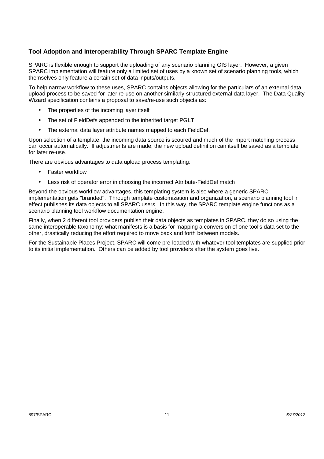## **Tool Adoption and Interoperability Through SPARC Template Engine**

SPARC is flexible enough to support the uploading of any scenario planning GIS layer. However, a given SPARC implementation will feature only a limited set of uses by a known set of scenario planning tools, which themselves only feature a certain set of data inputs/outputs.

To help narrow workflow to these uses, SPARC contains objects allowing for the particulars of an external data upload process to be saved for later re-use on another similarly-structured external data layer. The Data Quality Wizard specification contains a proposal to save/re-use such objects as:

- The properties of the incoming layer itself
- The set of FieldDefs appended to the inherited target PGLT
- The external data layer attribute names mapped to each FieldDef.

Upon selection of a template, the incoming data source is scoured and much of the import matching process can occur automatically. If adjustments are made, the new upload definition can itself be saved as a template for later re-use.

There are obvious advantages to data upload process templating:

- Faster workflow
- Less risk of operator error in choosing the incorrect Attribute-FieldDef match

Beyond the obvious workflow advantages, this templating system is also where a generic SPARC implementation gets "branded". Through template customization and organization, a scenario planning tool in effect publishes its data objects to all SPARC users. In this way, the SPARC template engine functions as a scenario planning tool workflow documentation engine.

Finally, when 2 different tool providers publish their data objects as templates in SPARC, they do so using the same interoperable taxonomy: what manifests is a basis for mapping a conversion of one tool's data set to the other, drastically reducing the effort required to move back and forth between models.

For the Sustainable Places Project, SPARC will come pre-loaded with whatever tool templates are supplied prior to its initial implementation. Others can be added by tool providers after the system goes live.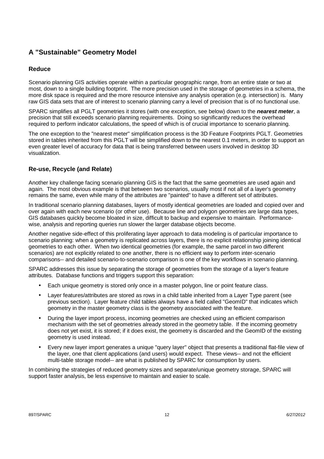# **A "Sustainable" Geometry Model**

## **Reduce**

Scenario planning GIS activities operate within a particular geographic range, from an entire state or two at most, down to a single building footprint. The more precision used in the storage of geometries in a schema, the more disk space is required and the more resource intensive any analysis operation (e.g. intersection) is. Many raw GIS data sets that are of interest to scenario planning carry a level of precision that is of no functional use.

SPARC simplifies all PGLT geometries it stores (with one exception, see below) down to the **nearest meter**, a precision that still exceeds scenario planning requirements. Doing so significantly reduces the overhead required to perform indicator calculations, the speed of which is of crucial importance to scenario planning.

The one exception to the "nearest meter" simplification process is the 3D Feature Footprints PGLT. Geometries stored in tables inherited from this PGLT will be simplified down to the nearest 0.1 meters, in order to support an even greater level of accuracy for data that is being transferred between users involved in desktop 3D visualization.

# **Re-use, Recycle (and Relate)**

Another key challenge facing scenario planning GIS is the fact that the same geometries are used again and again. The most obvious example is that between two scenarios, usually most if not all of a layer's geometry remains the same, even while many of the attributes are "painted" to have a different set of attributes.

In traditional scenario planning databases, layers of mostly identical geometries are loaded and copied over and over again with each new scenario (or other use). Because line and polygon geometries are large data types, GIS databases quickly become bloated in size, difficult to backup and expensive to maintain. Performancewise, analysis and reporting queries run slower the larger database objects become.

Another negative side-effect of this proliferating layer approach to data modeling is of particular importance to scenario planning: when a geometry is replicated across layers, there is no explicit relationship joining identical geometries to each other. When two identical geometries (for example, the same parcel in two different scenarios) are not explicitly related to one another, there is no efficient way to perform inter-scenario comparisons-- and detailed scenario-to-scenario comparison is one of the key workflows in scenario planning.

SPARC addresses this issue by separating the storage of geometries from the storage of a layer's feature attributes. Database functions and triggers support this separation:

- Each unique geometry is stored only once in a master polygon, line or point feature class.
- Layer features/attributes are stored as rows in a child table inherited from a Layer Type parent (see previous section). Layer feature child tables always have a field called "GeomID" that indicates which geometry in the master geometry class is the geometry associated with the feature.
- During the layer import process, incoming geometries are checked using an efficient comparison mechanism with the set of geometries already stored in the geometry table. If the incoming geometry does not yet exist, it is stored; if it does exist, the geometry is discarded and the GeomID of the existing geometry is used instead.
- Every new layer import generates a unique "query layer" object that presents a traditional flat-file view of the layer, one that client applications (and users) would expect. These views-- and not the efficient multi-table storage model-- are what is published by SPARC for consumption by users.

In combining the strategies of reduced geometry sizes and separate/unique geometry storage, SPARC will support faster analysis, be less expensive to maintain and easier to scale.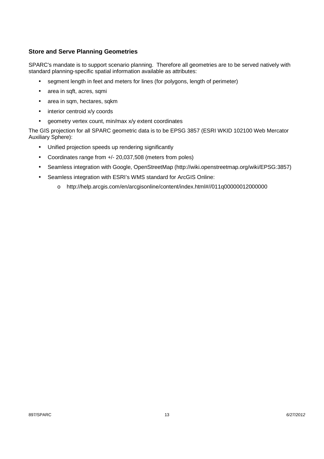## **Store and Serve Planning Geometries**

SPARC's mandate is to support scenario planning. Therefore all geometries are to be served natively with standard planning-specific spatial information available as attributes:

- segment length in feet and meters for lines (for polygons, length of perimeter)
- area in sqft, acres, sqmi
- area in sqm, hectares, sqkm
- interior centroid x/y coords
- geometry vertex count, min/max x/y extent coordinates

The GIS projection for all SPARC geometric data is to be EPSG 3857 (ESRI WKID 102100 Web Mercator Auxiliary Sphere):

- Unified projection speeds up rendering significantly
- Coordinates range from +/- 20,037,508 (meters from poles)
- Seamless integration with Google, OpenStreetMap (http://wiki.openstreetmap.org/wiki/EPSG:3857)
- Seamless integration with ESRI's WMS standard for ArcGIS Online:
	- o http://help.arcgis.com/en/arcgisonline/content/index.html#//011q00000012000000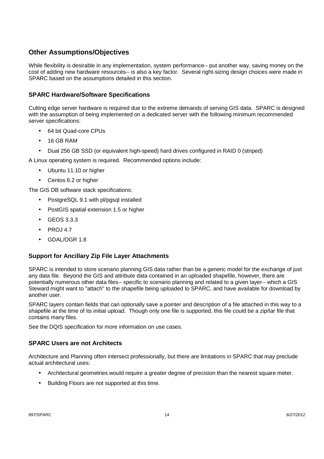# **Other Assumptions/Objectives**

While flexibility is desirable in any implementation, system performance-- put another way, saving money on the cost of adding new hardware resources-- is also a key factor. Several right-sizing design choices were made in SPARC based on the assumptions detailed in this section.

### **SPARC Hardware/Software Specifications**

Cutting edge server hardware is required due to the extreme demands of serving GIS data. SPARC is designed with the assumption of being implemented on a dedicated server with the following minimum recommended server specifications:

- 64 bit Quad-core CPUs
- 16 GB RAM
- Dual 256 GB SSD (or equivalent high-speed) hard drives configured in RAID 0 (striped)

A Linux operating system is required. Recommended options include:

- Ubuntu 11.10 or higher
- Centos 6.2 or higher

The GIS DB software stack specifications:

- PostgreSQL 9.1 with pl/pgsql installed
- PostGIS spatial extension 1.5 or higher
- GEOS 3.3.3
- PROJ 4.7
- GDAL/OGR 1.8

#### **Support for Ancillary Zip File Layer Attachments**

SPARC is intended to store scenario planning GIS data rather than be a generic model for the exchange of just any data file. Beyond the GIS and attribute data contained in an uploaded shapefile, however, there are potentially numerous other data files-- specific to scenario planning and related to a given layer-- which a GIS Steward might want to "attach" to the shapefile being uploaded to SPARC, and have available for download by another user.

SPARC layers contain fields that can optionally save a pointer and description of a file attached in this way to a shapefile at the time of its initial upload. Though only one file is supported, this file could be a zip/tar file that contains many files.

See the DQIS specification for more information on use cases.

#### **SPARC Users are not Architects**

Architecture and Planning often intersect professionally, but there are limitations in SPARC that may preclude actual architectural uses:

- Architectural geometries would require a greater degree of precision than the nearest square meter.
- Building Floors are not supported at this time.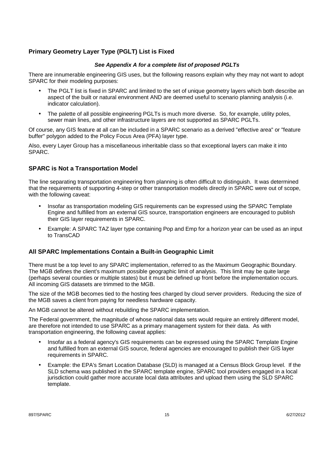# **Primary Geometry Layer Type (PGLT) List is Fixed**

#### **See Appendix A for a complete list of proposed PGLTs**

There are innumerable engineering GIS uses, but the following reasons explain why they may not want to adopt SPARC for their modeling purposes:

- The PGLT list is fixed in SPARC and limited to the set of unique geometry layers which both describe an aspect of the built or natural environment AND are deemed useful to scenario planning analysis (i.e. indicator calculation).
- The palette of all possible engineering PGLTs is much more diverse. So, for example, utility poles, sewer main lines, and other infrastructure layers are not supported as SPARC PGLTs.

Of course, any GIS feature at all can be included in a SPARC scenario as a derived "effective area" or "feature buffer" polygon added to the Policy Focus Area (PFA) layer type.

Also, every Layer Group has a miscellaneous inheritable class so that exceptional layers can make it into SPARC.

#### **SPARC is Not a Transportation Model**

The line separating transportation engineering from planning is often difficult to distinguish. It was determined that the requirements of supporting 4-step or other transportation models directly in SPARC were out of scope, with the following caveat:

- Insofar as transportation modeling GIS requirements can be expressed using the SPARC Template Engine and fulfilled from an external GIS source, transportation engineers are encouraged to publish their GIS layer requirements in SPARC.
- Example: A SPARC TAZ layer type containing Pop and Emp for a horizon year can be used as an input to TransCAD

#### **All SPARC Implementations Contain a Built-in Geographic Limit**

There must be a top level to any SPARC implementation, referred to as the Maximum Geographic Boundary. The MGB defines the client's maximum possible geographic limit of analysis. This limit may be quite large (perhaps several counties or multiple states) but it must be defined up front before the implementation occurs. All incoming GIS datasets are trimmed to the MGB.

The size of the MGB becomes tied to the hosting fees charged by cloud server providers. Reducing the size of the MGB saves a client from paying for needless hardware capacity.

An MGB cannot be altered without rebuilding the SPARC implementation.

The Federal government, the magnitude of whose national data sets would require an entirely different model, are therefore not intended to use SPARC as a primary management system for their data. As with transportation engineering, the following caveat applies:

- Insofar as a federal agency's GIS requirements can be expressed using the SPARC Template Engine and fulfilled from an external GIS source, federal agencies are encouraged to publish their GIS layer requirements in SPARC.
- Example: the EPA's Smart Location Database (SLD) is managed at a Census Block Group level. If the SLD schema was published in the SPARC template engine, SPARC tool providers engaged in a local jurisdiction could gather more accurate local data attributes and upload them using the SLD SPARC template.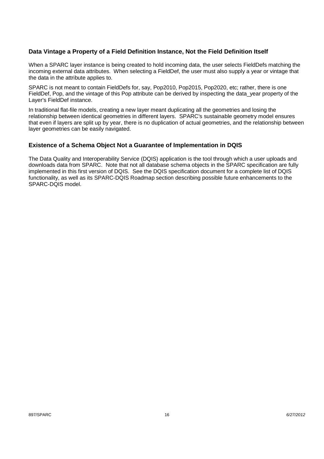#### **Data Vintage a Property of a Field Definition Instance, Not the Field Definition Itself**

When a SPARC layer instance is being created to hold incoming data, the user selects FieldDefs matching the incoming external data attributes. When selecting a FieldDef, the user must also supply a year or vintage that the data in the attribute applies to.

SPARC is not meant to contain FieldDefs for, say, Pop2010, Pop2015, Pop2020, etc; rather, there is one FieldDef. Pop, and the vintage of this Pop attribute can be derived by inspecting the data vear property of the Layer's FieldDef instance.

In traditional flat-file models, creating a new layer meant duplicating all the geometries and losing the relationship between identical geometries in different layers. SPARC's sustainable geometry model ensures that even if layers are split up by year, there is no duplication of actual geometries, and the relationship between layer geometries can be easily navigated.

#### **Existence of a Schema Object Not a Guarantee of Implementation in DQIS**

The Data Quality and Interoperability Service (DQIS) application is the tool through which a user uploads and downloads data from SPARC. Note that not all database schema objects in the SPARC specification are fully implemented in this first version of DQIS. See the DQIS specification document for a complete list of DQIS functionality, as well as its SPARC-DQIS Roadmap section describing possible future enhancements to the SPARC-DQIS model.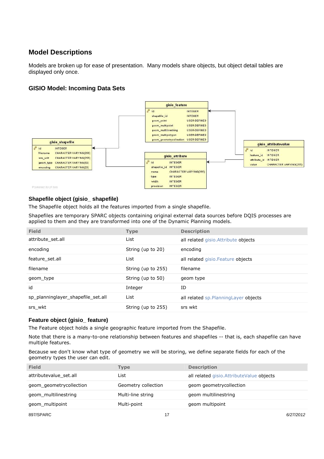# **Model Descriptions**

Models are broken up for ease of presentation. Many models share objects, but object detail tables are displayed only once.

#### **GISIO Model: Incoming Data Sets**



#### **Shapefile object (gisio\_ shapefile)**

The Shapefile object holds all the features imported from a single shapefile.

Shapefiles are temporary SPARC objects containing original external data sources before DQIS processes are applied to them and they are transformed into one of the Dynamic Planning models.

| <b>Field</b>                       | <b>Type</b>        | <b>Description</b>                     |
|------------------------------------|--------------------|----------------------------------------|
| attribute_set.all                  | List               | all related gisio. Attribute objects   |
| encoding                           | String (up to 20)  | encoding                               |
| feature set.all                    | List               | all related gisio. Feature objects     |
| filename                           | String (up to 255) | filename                               |
| geom type                          | String (up to 50)  | geom type                              |
| id                                 | Integer            | ID                                     |
| sp_planninglayer_shapefile_set.all | List               | all related sp. Planning Layer objects |
| srs wkt                            | String (up to 255) | srs wkt                                |

#### **Feature object (gisio\_ feature)**

The Feature object holds a single geographic feature imported from the Shapefile.

Note that there is a many-to-one relationship between features and shapefiles -- that is, each shapefile can have multiple features.

Because we don't know what type of geometry we will be storing, we define separate fields for each of the geometry types the user can edit.

| <b>Field</b>            | Type                | <b>Description</b>                         |
|-------------------------|---------------------|--------------------------------------------|
| attributevalue set.all  | List                | all related gisio. Attribute Value objects |
| geom geometrycollection | Geometry collection | geom geometrycollection                    |
| geom multilinestring    | Multi-line string   | geom multilinestring                       |
| geom multipoint         | Multi-point         | geom multipoint                            |
|                         |                     |                                            |

897/SPARC 17 6/27/2012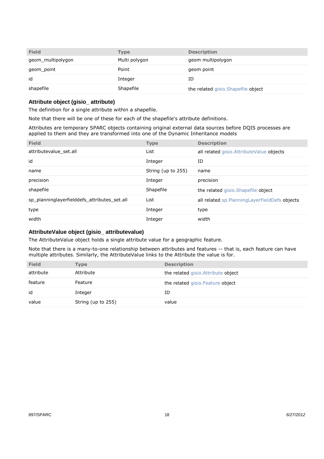| <b>Field</b>      | Type          | <b>Description</b>                  |
|-------------------|---------------|-------------------------------------|
| geom_multipolygon | Multi polygon | geom multipolygon                   |
| geom_point        | Point         | geom point                          |
| id                | Integer       | ΙD                                  |
| shapefile         | Shapefile     | the related gisio. Shapefile object |

## **Attribute object (gisio\_ attribute)**

The definition for a single attribute within a shapefile.

Note that there will be one of these for each of the shapefile's attribute definitions.

Attributes are temporary SPARC objects containing original external data sources before DQIS processes are applied to them and they are transformed into one of the Dynamic Inheritance models

| <b>Field</b><br><b>Type</b>                          |                    | <b>Description</b>                                |
|------------------------------------------------------|--------------------|---------------------------------------------------|
| attributevalue_set.all<br>List                       |                    | all related gisio. Attribute Value objects        |
| id                                                   | Integer            | ID                                                |
| name                                                 | String (up to 255) | name                                              |
| precision                                            | Integer            | precision                                         |
| shapefile                                            | Shapefile          | the related gisio. Shapefile object               |
| sp planninglayerfielddefs attributes set.all<br>List |                    | all related sp. Planning Layer Field Defs objects |
| type                                                 | Integer            | type                                              |
| width                                                | Integer            | width                                             |

#### **AttributeValue object (gisio\_ attributevalue)**

The AttributeValue object holds a single attribute value for a geographic feature.

Note that there is a many-to-one relationship between attributes and features -- that is, each feature can have multiple attributes. Similarly, the AttributeValue links to the Attribute the value is for.

| <b>Field</b> | Type               | <b>Description</b>                  |
|--------------|--------------------|-------------------------------------|
| attribute    | Attribute          | the related gisio. Attribute object |
| feature      | Feature            | the related gisio. Feature object   |
| id           | Integer            | ID                                  |
| value        | String (up to 255) | value                               |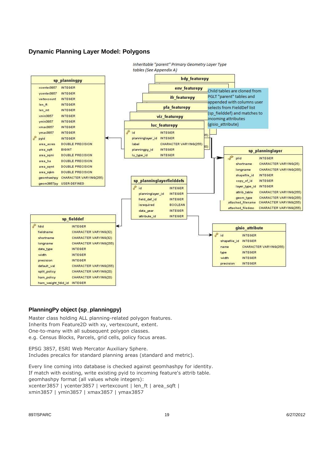#### **Dynamic Planning Layer Model: Polygons**



#### **PlanningPy object (sp\_planningpy)**

Master class holding ALL planning-related polygon features. Inherits from Feature2D with xy, vertexcount, extent. One-to-many with all subsequent polygon classes. e.g. Census Blocks, Parcels, grid cells, policy focus areas.

EPSG 3857, ESRI Web Mercator Auxiliary Sphere. Includes precalcs for standard planning areas (standard and metric).

Every line coming into database is checked against geomhashpy for identity. If match with existing, write existing pyid to incoming feature's attrib table. geomhashpy format (all values whole integers): xcenter3857 | ycenter3857 | vertexcount | len\_ft | area\_sqft | xmin3857 | ymin3857 | xmax3857 | ymax3857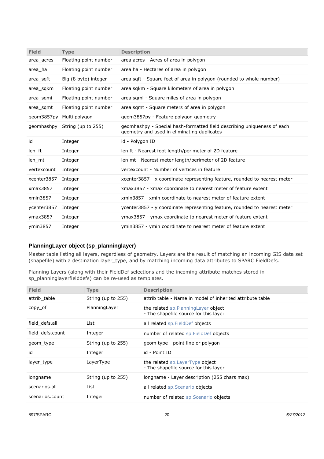| <b>Field</b> | <b>Type</b>           | <b>Description</b>                                                                                                     |
|--------------|-----------------------|------------------------------------------------------------------------------------------------------------------------|
| area acres   | Floating point number | area acres - Acres of area in polygon                                                                                  |
| area ha      | Floating point number | area ha - Hectares of area in polygon                                                                                  |
| area sqft    | Big (8 byte) integer  | area sqft - Square feet of area in polygon (rounded to whole number)                                                   |
| area sgkm    | Floating point number | area sqkm - Square kilometers of area in polygon                                                                       |
| area sqmi    | Floating point number | area sqmi - Square miles of area in polygon                                                                            |
| area sqmt    | Floating point number | area sqmt - Square meters of area in polygon                                                                           |
| qeom3857py   | Multi polygon         | geom3857py - Feature polygon geometry                                                                                  |
| geomhashpy   | String (up to 255)    | geomhashpy - Special hash-formatted field describing uniqueness of each<br>geometry and used in eliminating duplicates |
| id           | Integer               | id - Polygon ID                                                                                                        |
| len ft       | Integer               | len ft - Nearest foot length/perimeter of 2D feature                                                                   |
| len mt       | Integer               | len mt - Nearest meter length/perimeter of 2D feature                                                                  |
| vertexcount  | Integer               | vertexcount - Number of vertices in feature                                                                            |
| xcenter3857  | Integer               | xcenter3857 - x coordinate representing feature, rounded to nearest meter                                              |
| xmax3857     | Integer               | xmax3857 - xmax coordinate to nearest meter of feature extent                                                          |
| xmin3857     | Integer               | xmin3857 - xmin coordinate to nearest meter of feature extent                                                          |
| ycenter3857  | Integer               | ycenter3857 - y coordinate representing feature, rounded to nearest meter                                              |
| ymax3857     | Integer               | ymax3857 - ymax coordinate to nearest meter of feature extent                                                          |
| ymin3857     | Integer               | ymin3857 - ymin coordinate to nearest meter of feature extent                                                          |

#### **PlanningLayer object (sp\_planninglayer)**

Master table listing all layers, regardless of geometry. Layers are the result of matching an incoming GIS data set (shapefile) with a destination layer\_type, and by matching incoming data attributes to SPARC FieldDefs.

Planning Layers (along with their FieldDef selections and the incoming attribute matches stored in sp planninglayerfielddefs) can be re-used as templates.

| <b>Field</b>     | <b>Type</b>        | <b>Description</b>                                                             |
|------------------|--------------------|--------------------------------------------------------------------------------|
| attrib table     | String (up to 255) | attrib table - Name in model of inherited attribute table                      |
| $copy_of$        | Planning Layer     | the related sp. Planning Layer object<br>- The shapefile source for this layer |
| field defs.all   | List               | all related sp. FieldDef objects                                               |
| field defs.count | Integer            | number of related sp. FieldDef objects                                         |
| geom type        | String (up to 255) | geom type - point line or polygon                                              |
| id               | Integer            | id - Point ID                                                                  |
| layer type       | LayerType          | the related sp. Layer Type object<br>- The shapefile source for this layer     |
| longname         | String (up to 255) | longname - Layer description (255 chars max)                                   |
| scenarios all    | List               | all related sp. Scenario objects                                               |
| scenarios.count  | Integer            | number of related sp. Scenario objects                                         |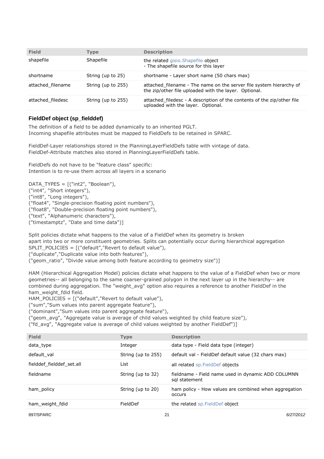| <b>Field</b>      | Type               | <b>Description</b>                                                                                                           |
|-------------------|--------------------|------------------------------------------------------------------------------------------------------------------------------|
| shapefile         | Shapefile          | the related gisio. Shapefile object<br>- The shapefile source for this layer                                                 |
| shortname         | String (up to 25)  | shortname - Layer short name (50 chars max)                                                                                  |
| attached filename | String (up to 255) | attached filename - The name on the server file system hierarchy of<br>the zip/other file uploaded with the layer. Optional. |
| attached filedesc | String (up to 255) | attached_filedesc - A description of the contents of the zip/other file<br>uploaded with the layer. Optional.                |

#### **FieldDef object (sp\_fielddef)**

The definition of a field to be added dynamically to an inherited PGLT. Incoming shapefile attributes must be mapped to FieldDefs to be retained in SPARC.

FieldDef-Layer relationships stored in the PlanningLayerFieldDefs table with vintage of data. FieldDef-Attribute matches also stored in PlanningLayerFieldDefs table.

FieldDefs do not have to be "feature class" specific: Intention is to re-use them across all layers in a scenario

DATA TYPES =  $[("int2", "Boolean"),$ ("int4", "Short integers"), ("int8", "Long integers"), ("float4", "Single-precision floating point numbers"), ("float8", "Double-precision floating point numbers"), ("text", "Alphanumeric characters"), ("timestamptz", "Date and time data")]

Split policies dictate what happens to the value of a FieldDef when its geometry is broken apart into two or more constituent geometries. Splits can potentially occur during hierarchical aggregation SPLIT\_POLICIES = [("default","Revert to default value"), ("duplicate","Duplicate value into both features"),

("geom\_ratio", "Divide value among both feature according to geometry size")]

HAM (Hierarchical Aggregation Model) policies dictate what happens to the value of a FieldDef when two or more geometries-- all belonging to the same coarser-grained polygon in the next layer up in the hierarchy-- are combined during aggregation. The "weight avg" option also requires a reference to another FieldDef in the ham\_weight\_fdid field.

HAM\_POLICIES = [("default","Revert to default value"),

("sum","Sum values into parent aggregate feature"),

("dominant","Sum values into parent aggregate feature"),

("geom\_avg", "Aggregate value is average of child values weighted by child feature size"),

("fd\_avg", "Aggregate value is average of child values weighted by another FieldDef")]

| <b>Field</b>              | <b>Type</b>        | <b>Description</b>                                                  |
|---------------------------|--------------------|---------------------------------------------------------------------|
| data type                 | Integer            | data type - Field data type (integer)                               |
| default val               | String (up to 255) | default val - FieldDef default value (32 chars max)                 |
| fielddef fielddef set.all | List               | all related sp. Field Def objects                                   |
| fieldname                 | String (up to 32)  | fieldname - Field name used in dynamic ADD COLUMNN<br>sal statement |
| ham policy                | String (up to 20)  | ham policy - How values are combined when aggregation<br>occurs     |
| ham weight fdid           | FieldDef           | the related sp. FieldDef object                                     |
|                           |                    |                                                                     |

897/SPARC 21 6/27/2012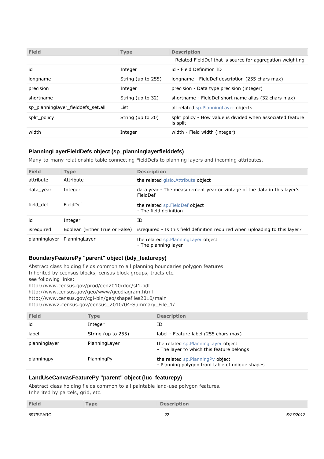| <b>Field</b>                       | <b>Type</b>        | <b>Description</b>                                                      |
|------------------------------------|--------------------|-------------------------------------------------------------------------|
|                                    |                    | - Related FieldDef that is source for aggregation weighting             |
| id                                 | Integer            | id - Field Definition ID                                                |
| longname                           | String (up to 255) | longname - FieldDef description (255 chars max)                         |
| precision                          | Integer            | precision - Data type precision (integer)                               |
| shortname                          | String (up to 32)  | shortname - FieldDef short name alias (32 chars max)                    |
| sp planninglayer fielddefs set.all | List               | all related sp. Planning Layer objects                                  |
| split policy                       | String (up to 20)  | split policy - How value is divided when associated feature<br>is split |
| width                              | Integer            | width - Field width (integer)                                           |

#### **PlanningLayerFieldDefs object (sp\_planninglayerfielddefs)**

Many-to-many relationship table connecting FieldDefs to planning layers and incoming attributes.

| <b>Field</b>  | <b>Type</b>                    | <b>Description</b>                                                                  |
|---------------|--------------------------------|-------------------------------------------------------------------------------------|
| attribute     | Attribute                      | the related gisio. Attribute object                                                 |
| data year     | Integer                        | data year - The measurement year or vintage of the data in this layer's<br>FieldDef |
| field def     | FieldDef                       | the related sp. FieldDef object<br>- The field definition                           |
| id            | Integer                        | ID                                                                                  |
| isrequired    | Boolean (Either True or False) | isrequired - Is this field definition required when uploading to this layer?        |
| planninglayer | Planning Layer                 | the related sp. Planning Layer object<br>- The planning layer                       |

#### **BoundaryFeaturePy "parent" object (bdy\_featurepy)**

Abstract class holding fields common to all planning boundaries polygon features. Inherited by ccensus blocks, census block groups, tracts etc. see following links: http://www.census.gov/prod/cen2010/doc/sf1.pdf http://www.census.gov/geo/www/geodiagram.html http://www.census.gov/cgi-bin/geo/shapefiles2010/main http://www2.census.gov/census\_2010/04-Summary\_File\_1/

| <b>Field</b>  | Type               | <b>Description</b>                                                                   |
|---------------|--------------------|--------------------------------------------------------------------------------------|
| id            | Integer            | ΙD                                                                                   |
| label         | String (up to 255) | label - Feature label (255 chars max)                                                |
| planninglayer | PlanningLayer      | the related sp. Planning Layer object<br>- The layer to which this feature belongs   |
| planningpy    | PlanningPy         | the related sp. Planning Py object<br>- Planning polygon from table of unique shapes |

#### **LandUseCanvasFeaturePy "parent" object (luc\_featurepy)**

Abstract class holding fields common to all paintable land-use polygon features. Inherited by parcels, grid, etc.

| <b>Field</b> | <b>Type</b> | <b>Description</b>    |           |
|--------------|-------------|-----------------------|-----------|
| 897/SPARC    |             | $\Omega$<br><u>__</u> | 6/27/2012 |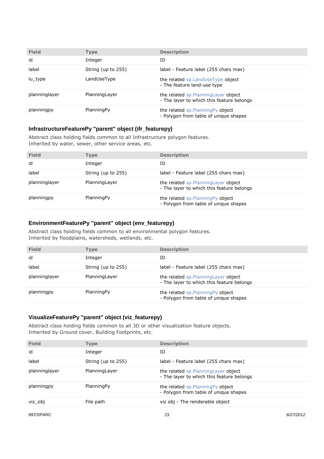| <b>Field</b>  | <b>Type</b>        | <b>Description</b>                                                                 |
|---------------|--------------------|------------------------------------------------------------------------------------|
| id            | Integer            | ID                                                                                 |
| label         | String (up to 255) | label - Feature label (255 chars max)                                              |
| lu type       | LandUseType        | the related sp. LandUseType object<br>- The feature land-use type                  |
| planninglayer | Planning Layer     | the related sp. Planning Layer object<br>- The layer to which this feature belongs |
| planningpy    | PlanningPy         | the related sp. Planning Py object<br>- Polygon from table of unique shapes        |

#### **InfrastructureFeaturePy "parent" object (ifr\_featurepy)**

Abstract class holding fields common to all Infrastructure polygon features. Inherited by water, sewer, other service areas, etc.

| <b>Field</b>  | Type               | <b>Description</b>                                                                 |
|---------------|--------------------|------------------------------------------------------------------------------------|
| id            | Integer            | ID                                                                                 |
| label         | String (up to 255) | label - Feature label (255 chars max)                                              |
| planninglayer | Planning Layer     | the related sp. Planning Layer object<br>- The layer to which this feature belongs |
| planningpy    | PlanningPy         | the related sp. Planning Py object<br>- Polygon from table of unique shapes        |

#### **EnvironmentFeaturePy "parent" object (env\_featurepy)**

Abstract class holding fields common to all environmental polygon features. Inherited by floodplains, watersheds, wetlands, etc.

| <b>Field</b>  | <b>Type</b>        | <b>Description</b>                                                                 |
|---------------|--------------------|------------------------------------------------------------------------------------|
| id            | Integer            | ΙD                                                                                 |
| label         | String (up to 255) | label - Feature label (255 chars max)                                              |
| planninglayer | PlanningLayer      | the related sp. Planning Layer object<br>- The layer to which this feature belongs |
| planningpy    | PlanningPy         | the related sp.PlanningPy object<br>- Polygon from table of unique shapes          |

#### **VisualizeFeaturePy "parent" object (viz\_featurepy)**

Abstract class holding fields common to all 3D or other visualization feature objects. Inherited by Ground cover, Building Footprints, etc.

| <b>Field</b>  | <b>Type</b>        | <b>Description</b>                                                                 |
|---------------|--------------------|------------------------------------------------------------------------------------|
| id            | Integer            | ID                                                                                 |
| label         | String (up to 255) | label - Feature label (255 chars max)                                              |
| planninglayer | Planning Layer     | the related sp. Planning Layer object<br>- The layer to which this feature belongs |
| planningpy    | PlanningPy         | the related sp. Planning Py object<br>- Polygon from table of unique shapes        |
| viz obj       | File path          | viz obj - The renderable object                                                    |
|               |                    |                                                                                    |

897/SPARC 6/27/2012 697/SPARC 6/27/2012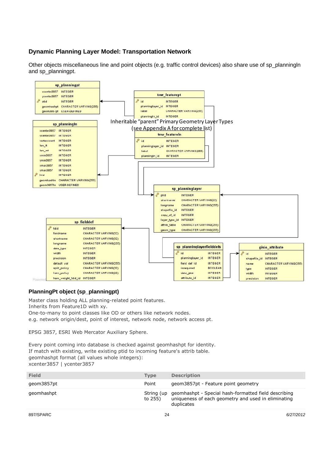# **Dynamic Planning Layer Model: Transportation Network**

Other objects miscellaneous line and point objects (e.g. traffic control devices) also share use of sp\_planningln and sp\_planningpt.



#### **PlanningPt object (sp\_planningpt)**

Master class holding ALL planning-related point features.

Inherits from Feature1D with xy.

One-to-many to point classes like OD or others like network nodes.

e.g. network origin/dest, point of interest, network node, network access pt.

EPSG 3857, ESRI Web Mercator Auxiliary Sphere.

Every point coming into database is checked against geomhashpt for identity. If match with existing, write existing ptid to incoming feature's attrib table. geomhashpt format (all values whole integers): xcenter3857 | ycenter3857

| <b>Field</b> | <b>Type</b>           | <b>Description</b>                                                                                                        |
|--------------|-----------------------|---------------------------------------------------------------------------------------------------------------------------|
| qeom3857pt   | Point                 | geom3857pt - Feature point geometry                                                                                       |
| qeomhashpt   | String (up<br>to 255) | geomhashpt - Special hash-formatted field describing<br>uniqueness of each geometry and used in eliminating<br>duplicates |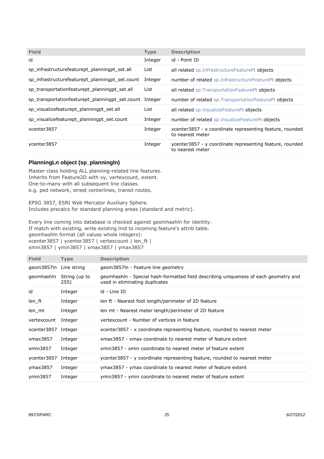| <b>Field</b>                                            | <b>Type</b> | <b>Description</b>                                                           |
|---------------------------------------------------------|-------------|------------------------------------------------------------------------------|
| id                                                      | Integer     | id - Point ID                                                                |
| sp infrastructurefeaturept planningpt set.all           | List        | all related sp.InfrastructureFeaturePt objects                               |
| sp infrastructurefeaturept planningpt set.count         | Integer     | number of related sp. Infrastructure Feature Pt objects                      |
| sp transportationfeaturept planningpt set.all           | List        | all related sp. Transportation Feature Pt objects                            |
| sp transportationfeaturept planningpt set.count Integer |             | number of related sp. Transportation Feature Pt objects                      |
| sp visualizefeaturept planningpt set.all                | List        | all related sp. Visualize Feature Pt objects                                 |
| sp visualizefeaturept planningpt set count              | Integer     | number of related sp. VisualizeFeaturePt objects                             |
| xcenter3857                                             | Integer     | xcenter3857 - x coordinate representing feature, rounded<br>to nearest meter |
| ycenter3857                                             | Integer     | ycenter3857 - y coordinate representing feature, rounded<br>to nearest meter |

#### **PlanningLn object (sp\_planningln)**

Master class holding ALL planning-related line features. Inherits from Feature2D with xy, vertexcount, extent. One-to-many with all subsequent line classes. e.g. ped network, street centerlines, transit routes.

EPSG 3857, ESRI Web Mercator Auxiliary Sphere. Includes precalcs for standard planning areas (standard and metric).

Every line coming into database is checked against geomhashln for identity. If match with existing, write existing lnid to incoming feature's attrib table. geomhashln format (all values whole integers): xcenter3857 | ycenter3857 | vertexcount | len\_ft | xmin3857 | ymin3857 | xmax3857 | ymax3857

| <b>Field</b>           | <b>Type</b>           | <b>Description</b>                                                                                                     |
|------------------------|-----------------------|------------------------------------------------------------------------------------------------------------------------|
| geom3857ln Line string |                       | geom3857ln - Feature line geometry                                                                                     |
| geomhashln             | String (up to<br>255) | geomhashln - Special hash-formatted field describing uniqueness of each geometry and<br>used in eliminating duplicates |
| id                     | Integer               | id - Line ID                                                                                                           |
| len ft                 | Integer               | len ft - Nearest foot length/perimeter of 2D feature                                                                   |
| len mt                 | Integer               | len mt - Nearest meter length/perimeter of 2D feature                                                                  |
| vertexcount            | Integer               | vertexcount - Number of vertices in feature                                                                            |
| xcenter3857            | Integer               | xcenter3857 - x coordinate representing feature, rounded to nearest meter                                              |
| xmax3857               | Integer               | xmax3857 - xmax coordinate to nearest meter of feature extent                                                          |
| xmin3857               | Integer               | xmin3857 - xmin coordinate to nearest meter of feature extent                                                          |
| ycenter3857            | Integer               | ycenter3857 - y coordinate representing feature, rounded to nearest meter                                              |
| ymax3857               | Integer               | ymax3857 - ymax coordinate to nearest meter of feature extent                                                          |
| ymin3857               | Integer               | ymin3857 - ymin coordinate to nearest meter of feature extent                                                          |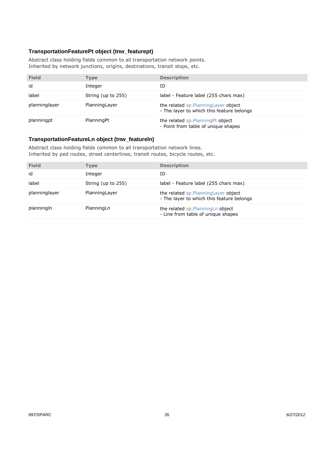#### **TransportationFeaturePt object (tnw\_featurept)**

Abstract class holding fields common to all transportation network points. Inherited by network junctions, origins, destinations, transit stops, etc.

| <b>Field</b>  | Type               | <b>Description</b>                                                                 |
|---------------|--------------------|------------------------------------------------------------------------------------|
| id            | Integer            | ΙD                                                                                 |
| label         | String (up to 255) | label - Feature label (255 chars max)                                              |
| planninglayer | PlanningLayer      | the related sp. Planning Layer object<br>- The layer to which this feature belongs |
| planningpt    | PlanningPt         | the related sp. Planning Pt object<br>- Point from table of unique shapes          |

#### **TransportationFeatureLn object (tnw\_featureln)**

Abstract class holding fields common to all transportation network lines. Inherited by ped routes, street centerlines, transit routes, bicycle routes, etc.

| <b>Field</b>  | Type               | <b>Description</b>                                                                 |
|---------------|--------------------|------------------------------------------------------------------------------------|
| id            | Integer            | ΙD                                                                                 |
| label         | String (up to 255) | label - Feature label (255 chars max)                                              |
| planninglayer | PlanningLayer      | the related sp. Planning Layer object<br>- The layer to which this feature belongs |
| planningln    | PlanningLn         | the related sp. Planning Ln object<br>- Line from table of unique shapes           |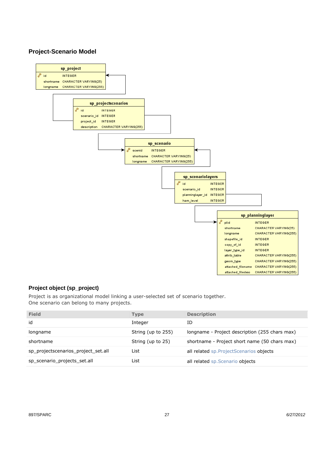#### **Project-Scenario Model**



#### **Project object (sp\_project)**

Project is as organizational model linking a user-selected set of scenario together. One scenario can belong to many projects.

| <b>Field</b>                        | <b>Type</b>        | <b>Description</b>                             |
|-------------------------------------|--------------------|------------------------------------------------|
| id                                  | Integer            | ID                                             |
| longname                            | String (up to 255) | longname - Project description (255 chars max) |
| shortname                           | String (up to 25)  | shortname - Project short name (50 chars max)  |
| sp_projectscenarios_project_set.all | List               | all related sp. Project Scenarios objects      |
| sp_scenario_projects_set.all        | List               | all related sp. Scenario objects               |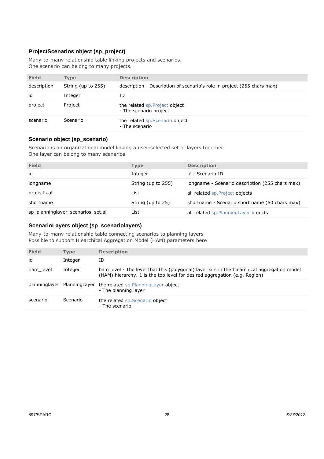### **ProjectScenarios object (sp\_project)**

Many-to-many relationship table linking projects and scenarios. One scenario can belong to many projects.

| <b>Field</b> | Type               | <b>Description</b>                                                      |
|--------------|--------------------|-------------------------------------------------------------------------|
| description  | String (up to 255) | description - Description of scenario's role in project (255 chars max) |
| id           | Integer            | ID                                                                      |
| project      | Project            | the related sp. Project object<br>- The scenario project                |
| scenario     | Scenario           | the related sp. Scenario object<br>- The scenario                       |

#### **Scenario object (sp\_scenario)**

Scenario is an organizational model linking a user-selected set of layers together. One layer can belong to many scenarios.

| <b>Field</b>                       | <b>Type</b>        | <b>Description</b>                              |
|------------------------------------|--------------------|-------------------------------------------------|
| id                                 | Integer            | id - Scenario ID                                |
| longname                           | String (up to 255) | Iongname - Scenario description (255 chars max) |
| projects.all                       | List               | all related sp. Project objects                 |
| shortname                          | String (up to 25)  | shortname - Scenario short name (50 chars max)  |
| sp planninglayer scenarios set.all | List               | all related sp. Planning Layer objects          |

#### **ScenarioLayers object (sp\_scenariolayers)**

Many-to-many relationship table connecting scenarios to planning layers Possible to support Hiearchical Aggregation Model (HAM) parameters here

| <b>Field</b> | <b>Type</b>                  | <b>Description</b>                                                                                                                                                       |
|--------------|------------------------------|--------------------------------------------------------------------------------------------------------------------------------------------------------------------------|
| id           | Integer                      | ID                                                                                                                                                                       |
| ham level    | Integer                      | ham level - The level that this (polygonal) layer sits in the hiearchical aggregation model<br>(HAM) hierarchy. 1 is the top level for desired aggregation (e.g. Region) |
|              | planninglayer Planning Layer | the related sp. Planning Layer object<br>- The planning layer                                                                                                            |
| scenario     | Scenario                     | the related sp. Scenario object<br>- The scenario                                                                                                                        |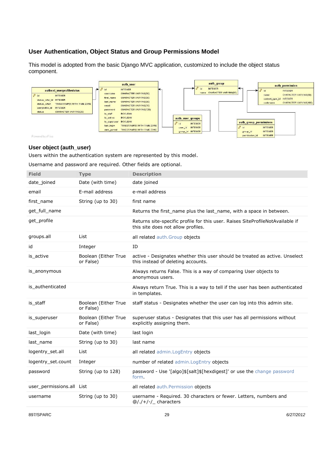### **User Authentication, Object Status and Group Permissions Model**

This model is adopted from the basic Django MVC application, customized to include the object status component.



#### **User object (auth\_user)**

Users within the authentication system are represented by this model.

Username and password are required. Other fields are optional.

| <b>Field</b>              | <b>Type</b>                       | <b>Description</b>                                                                                                   |
|---------------------------|-----------------------------------|----------------------------------------------------------------------------------------------------------------------|
| date joined               | Date (with time)                  | date joined                                                                                                          |
| email                     | E-mail address                    | e-mail address                                                                                                       |
| first name                | String (up to 30)                 | first name                                                                                                           |
| get_full_name             |                                   | Returns the first_name plus the last_name, with a space in between.                                                  |
| get_profile               |                                   | Returns site-specific profile for this user. Raises SiteProfileNotAvailable if<br>this site does not allow profiles. |
| groups.all                | List                              | all related auth. Group objects                                                                                      |
| id                        | Integer                           | ID                                                                                                                   |
| is_active                 | Boolean (Either True<br>or False) | active - Designates whether this user should be treated as active. Unselect<br>this instead of deleting accounts.    |
| is anonymous              |                                   | Always returns False. This is a way of comparing User objects to<br>anonymous users.                                 |
| is authenticated          |                                   | Always return True. This is a way to tell if the user has been authenticated<br>in templates.                        |
| is staff                  | Boolean (Either True<br>or False) | staff status - Designates whether the user can log into this admin site.                                             |
| is_superuser              | Boolean (Either True<br>or False) | superuser status - Designates that this user has all permissions without<br>explicitly assigning them.               |
| last login                | Date (with time)                  | last login                                                                                                           |
| last name                 | String (up to 30)                 | last name                                                                                                            |
| logentry set.all          | List                              | all related admin. LogEntry objects                                                                                  |
| logentry set.count        | Integer                           | number of related admin. LogEntry objects                                                                            |
| password                  | String (up to 128)                | password - Use '[algo]\$[salt]\$[hexdigest]' or use the change password<br>form.                                     |
| user_permissions.all List |                                   | all related auth. Permission objects                                                                                 |
| username                  | String (up to 30)                 | username - Required. 30 characters or fewer. Letters, numbers and<br>$\omega/./+/-/$ characters                      |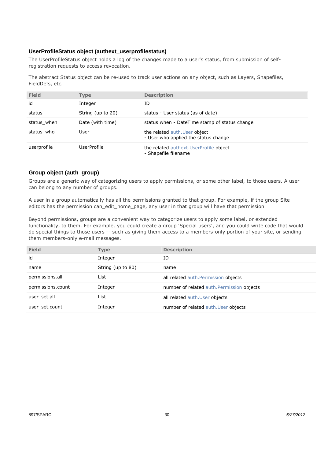#### **UserProfileStatus object (authext\_userprofilestatus)**

The UserProfileStatus object holds a log of the changes made to a user's status, from submission of selfregistration requests to access revocation.

The abstract Status object can be re-used to track user actions on any object, such as Layers, Shapefiles, FieldDefs, etc.

| <b>Field</b> | <b>Type</b>        | <b>Description</b>                                                    |
|--------------|--------------------|-----------------------------------------------------------------------|
| id           | Integer            | ΙD                                                                    |
| status       | String (up to 20)  | status - User status (as of date)                                     |
| status when  | Date (with time)   | status when - DateTime stamp of status change                         |
| status who   | User               | the related auth. User object<br>- User who applied the status change |
| userprofile  | <b>UserProfile</b> | the related authext. UserProfile object<br>- Shapefile filename       |

#### **Group object (auth\_group)**

Groups are a generic way of categorizing users to apply permissions, or some other label, to those users. A user can belong to any number of groups.

A user in a group automatically has all the permissions granted to that group. For example, if the group Site editors has the permission can\_edit\_home\_page, any user in that group will have that permission.

Beyond permissions, groups are a convenient way to categorize users to apply some label, or extended functionality, to them. For example, you could create a group 'Special users', and you could write code that would do special things to those users -- such as giving them access to a members-only portion of your site, or sending them members-only e-mail messages.

| <b>Field</b>      | <b>Type</b>       | <b>Description</b>                         |
|-------------------|-------------------|--------------------------------------------|
| id                | Integer           | ID                                         |
| name              | String (up to 80) | name                                       |
| permissions.all   | List              | all related auth. Permission objects       |
| permissions.count | Integer           | number of related auth. Permission objects |
| user set.all      | List              | all related auth. User objects             |
| user set.count    | Integer           | number of related auth. User objects       |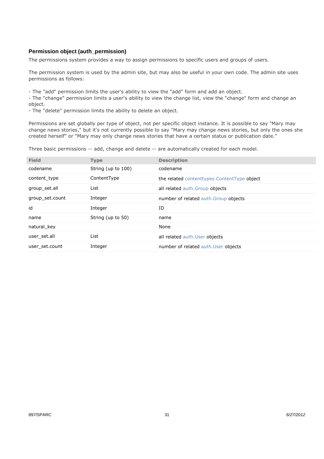#### **Permission object (auth\_permission)**

The permissions system provides a way to assign permissions to specific users and groups of users.

The permission system is used by the admin site, but may also be useful in your own code. The admin site uses permissions as follows:

- The "add" permission limits the user's ability to view the "add" form and add an object.

- The "change" permission limits a user's ability to view the change list, view the "change" form and change an object.

- The "delete" permission limits the ability to delete an object.

Permissions are set globally per type of object, not per specific object instance. It is possible to say "Mary may change news stories," but it's not currently possible to say "Mary may change news stories, but only the ones she created herself" or "Mary may only change news stories that have a certain status or publication date."

Three basic permissions -- add, change and delete -- are automatically created for each model.

| <b>Field</b>    | <b>Type</b>        | <b>Description</b>                          |
|-----------------|--------------------|---------------------------------------------|
| codename        | String (up to 100) | codename                                    |
| content type    | ContentType        | the related contenttypes.ContentType object |
| group_set.all   | List               | all related auth. Group objects             |
| group set.count | Integer            | number of related auth. Group objects       |
|                 |                    |                                             |
| id              | Integer            | ID                                          |
| name            | String (up to 50)  | name                                        |
| natural key     |                    | None                                        |
| user set.all    | List               | all related auth. User objects              |
| user set.count  | Integer            | number of related auth. User objects        |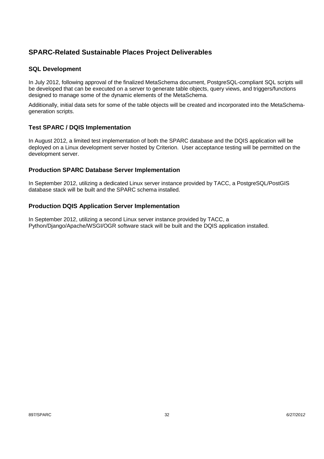# **SPARC-Related Sustainable Places Project Deliverables**

#### **SQL Development**

In July 2012, following approval of the finalized MetaSchema document, PostgreSQL-compliant SQL scripts will be developed that can be executed on a server to generate table objects, query views, and triggers/functions designed to manage some of the dynamic elements of the MetaSchema.

Additionally, initial data sets for some of the table objects will be created and incorporated into the MetaSchemageneration scripts.

## **Test SPARC / DQIS Implementation**

In August 2012, a limited test implementation of both the SPARC database and the DQIS application will be deployed on a Linux development server hosted by Criterion. User acceptance testing will be permitted on the development server.

## **Production SPARC Database Server Implementation**

In September 2012, utilizing a dedicated Linux server instance provided by TACC, a PostgreSQL/PostGIS database stack will be built and the SPARC schema installed.

#### **Production DQIS Application Server Implementation**

In September 2012, utilizing a second Linux server instance provided by TACC, a Python/Django/Apache/WSGI/OGR software stack will be built and the DQIS application installed.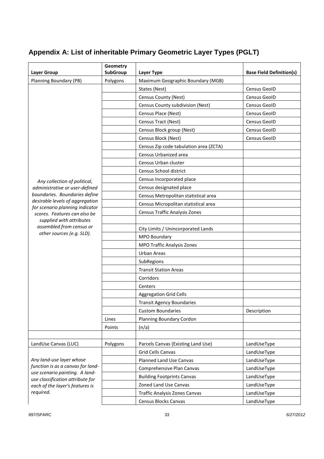# **Appendix A: List of inheritable Primary Geometric Layer Types (PGLT)**

| <b>Layer Group</b>                                                  | Geometry<br>SubGroup | Layer Type                             | <b>Base Field Definition(s)</b> |
|---------------------------------------------------------------------|----------------------|----------------------------------------|---------------------------------|
| Planning Boundary (PB)                                              | Polygons             | Maximum Geographic Boundary (MGB)      |                                 |
|                                                                     |                      | States (Nest)                          | Census GeoID                    |
|                                                                     |                      | Census County (Nest)                   | Census GeoID                    |
|                                                                     |                      | Census County subdivision (Nest)       | Census GeoID                    |
|                                                                     |                      | Census Place (Nest)                    | Census GeoID                    |
|                                                                     |                      | Census Tract (Nest)                    | Census GeoID                    |
|                                                                     |                      | Census Block group (Nest)              | <b>Census GeoID</b>             |
|                                                                     |                      | Census Block (Nest)                    | Census GeoID                    |
|                                                                     |                      | Census Zip code tabulation area (ZCTA) |                                 |
|                                                                     |                      | Census Urbanized area                  |                                 |
|                                                                     |                      | Census Urban cluster                   |                                 |
|                                                                     |                      | Census School district                 |                                 |
| Any collection of political,                                        |                      | Census Incorporated place              |                                 |
| administrative or user-defined                                      |                      | Census designated place                |                                 |
| boundaries. Boundaries define                                       |                      | Census Metropolitan statistical area   |                                 |
| desirable levels of aggregation<br>for scenario planning indicator  |                      | Census Micropolitan statistical area   |                                 |
| scores. Features can also be                                        |                      | Census Traffic Analysis Zones          |                                 |
| supplied with attributes                                            |                      |                                        |                                 |
| assembled from census or<br>other sources (e.g. SLD).               |                      | City Limits / Unincorporated Lands     |                                 |
|                                                                     |                      | MPO Boundary                           |                                 |
|                                                                     |                      | MPO Traffic Analysis Zones             |                                 |
|                                                                     |                      | <b>Urban Areas</b>                     |                                 |
|                                                                     |                      | SubRegions                             |                                 |
|                                                                     |                      | <b>Transit Station Areas</b>           |                                 |
|                                                                     |                      | Corridors                              |                                 |
|                                                                     |                      | Centers                                |                                 |
|                                                                     |                      | <b>Aggregation Grid Cells</b>          |                                 |
|                                                                     |                      | <b>Transit Agency Boundaries</b>       |                                 |
|                                                                     |                      | <b>Custom Boundaries</b>               | Description                     |
|                                                                     | Lines                | Planning Boundary Cordon               |                                 |
|                                                                     | Points               | (n/a)                                  |                                 |
|                                                                     |                      |                                        |                                 |
| LandUse Canvas (LUC)                                                | Polygons             | Parcels Canvas (Existing Land Use)     | LandUseType                     |
|                                                                     |                      | <b>Grid Cells Canvas</b>               | LandUseType                     |
| Any land-use layer whose                                            |                      | Planned Land Use Canvas                | LandUseType                     |
| function is as a canvas for land-<br>use scenario painting. A land- |                      | Comprehensive Plan Canvas              | LandUseType                     |
| use classification attribute for                                    |                      | <b>Building Footprints Canvas</b>      | LandUseType                     |
| each of the layer's features is                                     |                      | Zoned Land Use Canvas                  | LandUseType                     |
| required.                                                           |                      | Traffic Analysis Zones Canvas          | LandUseType                     |
|                                                                     |                      | Census Blocks Canvas                   | LandUseType                     |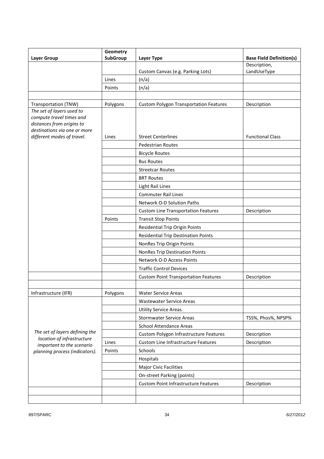|                                                                                                                    | Geometry        |                                               |                                 |
|--------------------------------------------------------------------------------------------------------------------|-----------------|-----------------------------------------------|---------------------------------|
| <b>Layer Group</b>                                                                                                 | <b>SubGroup</b> | Layer Type                                    | <b>Base Field Definition(s)</b> |
|                                                                                                                    |                 | Custom Canvas (e.g. Parking Lots)             | Description,<br>LandUseType     |
|                                                                                                                    | Lines           | (n/a)                                         |                                 |
|                                                                                                                    | Points          |                                               |                                 |
|                                                                                                                    |                 | (n/a)                                         |                                 |
| Transportation (TNW)                                                                                               | Polygons        | <b>Custom Polygon Transportation Features</b> | Description                     |
| The set of layers used to<br>compute travel times and<br>distances from origins to<br>destinations via one or more |                 |                                               |                                 |
| different modes of travel.                                                                                         | Lines           | <b>Street Centerlines</b>                     | <b>Functional Class</b>         |
|                                                                                                                    |                 | <b>Pedestrian Routes</b>                      |                                 |
|                                                                                                                    |                 | <b>Bicycle Routes</b>                         |                                 |
|                                                                                                                    |                 | <b>Bus Routes</b>                             |                                 |
|                                                                                                                    |                 | <b>Streetcar Routes</b>                       |                                 |
|                                                                                                                    |                 | <b>BRT Routes</b>                             |                                 |
|                                                                                                                    |                 | <b>Light Rail Lines</b>                       |                                 |
|                                                                                                                    |                 | <b>Commuter Rail Lines</b>                    |                                 |
|                                                                                                                    |                 | Network O-D Solution Paths                    |                                 |
|                                                                                                                    |                 | <b>Custom Line Transportation Features</b>    | Description                     |
|                                                                                                                    | Points          | <b>Transit Stop Points</b>                    |                                 |
|                                                                                                                    |                 | <b>Residential Trip Origin Points</b>         |                                 |
|                                                                                                                    |                 | <b>Residential Trip Destination Points</b>    |                                 |
|                                                                                                                    |                 | NonRes Trip Origin Points                     |                                 |
|                                                                                                                    |                 | <b>NonRes Trip Destination Points</b>         |                                 |
|                                                                                                                    |                 | Network O-D Access Points                     |                                 |
|                                                                                                                    |                 | <b>Traffic Control Devices</b>                |                                 |
|                                                                                                                    |                 | <b>Custom Point Transportation Features</b>   | Description                     |
|                                                                                                                    |                 |                                               |                                 |
| Infrastructure (IFR)                                                                                               | Polygons        | <b>Water Service Areas</b>                    |                                 |
|                                                                                                                    |                 | <b>Wastewater Service Areas</b>               |                                 |
|                                                                                                                    |                 | <b>Utility Service Areas</b>                  |                                 |
|                                                                                                                    |                 | <b>Stormwater Service Areas</b>               | TSS%, Phos%, NPSP%              |
|                                                                                                                    |                 | <b>School Attendance Areas</b>                |                                 |
| The set of layers defining the<br>location of infrastructure                                                       |                 | Custom Polygon Infrastructure Features        | Description                     |
| important to the scenario<br>planning process (indicators).                                                        | Lines           | <b>Custom Line Infrastructure Features</b>    | Description                     |
|                                                                                                                    | Points          | Schools                                       |                                 |
|                                                                                                                    |                 | Hospitals                                     |                                 |
|                                                                                                                    |                 | <b>Major Civic Facilities</b>                 |                                 |
|                                                                                                                    |                 | On-street Parking (points)                    |                                 |
|                                                                                                                    |                 | <b>Custom Point Infrastructure Features</b>   | Description                     |
|                                                                                                                    |                 |                                               |                                 |
|                                                                                                                    |                 |                                               |                                 |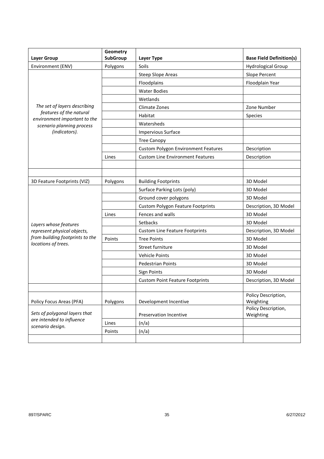| Environment (ENV)<br>Polygons<br>Soils<br><b>Hydrological Group</b><br><b>Steep Slope Areas</b><br>Slope Percent<br>Floodplains<br>Floodplain Year<br><b>Water Bodies</b><br>Wetlands<br>The set of layers describing<br><b>Climate Zones</b><br>Zone Number<br>features of the natural<br>Habitat<br>Species<br>environment important to the<br>Watersheds<br>scenario planning process<br>(indicators).<br><b>Impervious Surface</b><br><b>Tree Canopy</b><br><b>Custom Polygon Environment Features</b><br>Description<br><b>Custom Line Environment Features</b><br>Description<br>Lines<br>Polygons<br>3D Model<br>3D Feature Footprints (VIZ)<br><b>Building Footprints</b><br>Surface Parking Lots (poly)<br>3D Model<br>Ground cover polygons<br>3D Model<br><b>Custom Polygon Feature Footprints</b><br>Description, 3D Model<br>Fences and walls<br>3D Model<br>Lines<br>Setbacks<br>3D Model<br>Layers whose features<br>represent physical objects,<br>Description, 3D Model<br><b>Custom Line Feature Footprints</b><br>from building footprints to the<br>Points<br><b>Tree Points</b><br>3D Model<br>locations of trees.<br>Street furniture<br>3D Model<br>Vehicle Points<br>3D Model<br>3D Model<br><b>Pedestrian Points</b><br>3D Model<br>Sign Points<br>Description, 3D Model<br><b>Custom Point Feature Footprints</b><br>Policy Description,<br>Policy Focus Areas (PFA)<br>Development Incentive<br>Weighting<br>Polygons<br>Policy Description, | <b>Layer Group</b>            | Geometry<br>SubGroup | <b>Layer Type</b> | <b>Base Field Definition(s)</b> |
|-------------------------------------------------------------------------------------------------------------------------------------------------------------------------------------------------------------------------------------------------------------------------------------------------------------------------------------------------------------------------------------------------------------------------------------------------------------------------------------------------------------------------------------------------------------------------------------------------------------------------------------------------------------------------------------------------------------------------------------------------------------------------------------------------------------------------------------------------------------------------------------------------------------------------------------------------------------------------------------------------------------------------------------------------------------------------------------------------------------------------------------------------------------------------------------------------------------------------------------------------------------------------------------------------------------------------------------------------------------------------------------------------------------------------------------------------------------------------|-------------------------------|----------------------|-------------------|---------------------------------|
|                                                                                                                                                                                                                                                                                                                                                                                                                                                                                                                                                                                                                                                                                                                                                                                                                                                                                                                                                                                                                                                                                                                                                                                                                                                                                                                                                                                                                                                                         |                               |                      |                   |                                 |
|                                                                                                                                                                                                                                                                                                                                                                                                                                                                                                                                                                                                                                                                                                                                                                                                                                                                                                                                                                                                                                                                                                                                                                                                                                                                                                                                                                                                                                                                         |                               |                      |                   |                                 |
|                                                                                                                                                                                                                                                                                                                                                                                                                                                                                                                                                                                                                                                                                                                                                                                                                                                                                                                                                                                                                                                                                                                                                                                                                                                                                                                                                                                                                                                                         |                               |                      |                   |                                 |
|                                                                                                                                                                                                                                                                                                                                                                                                                                                                                                                                                                                                                                                                                                                                                                                                                                                                                                                                                                                                                                                                                                                                                                                                                                                                                                                                                                                                                                                                         |                               |                      |                   |                                 |
|                                                                                                                                                                                                                                                                                                                                                                                                                                                                                                                                                                                                                                                                                                                                                                                                                                                                                                                                                                                                                                                                                                                                                                                                                                                                                                                                                                                                                                                                         |                               |                      |                   |                                 |
|                                                                                                                                                                                                                                                                                                                                                                                                                                                                                                                                                                                                                                                                                                                                                                                                                                                                                                                                                                                                                                                                                                                                                                                                                                                                                                                                                                                                                                                                         |                               |                      |                   |                                 |
|                                                                                                                                                                                                                                                                                                                                                                                                                                                                                                                                                                                                                                                                                                                                                                                                                                                                                                                                                                                                                                                                                                                                                                                                                                                                                                                                                                                                                                                                         |                               |                      |                   |                                 |
|                                                                                                                                                                                                                                                                                                                                                                                                                                                                                                                                                                                                                                                                                                                                                                                                                                                                                                                                                                                                                                                                                                                                                                                                                                                                                                                                                                                                                                                                         |                               |                      |                   |                                 |
|                                                                                                                                                                                                                                                                                                                                                                                                                                                                                                                                                                                                                                                                                                                                                                                                                                                                                                                                                                                                                                                                                                                                                                                                                                                                                                                                                                                                                                                                         |                               |                      |                   |                                 |
|                                                                                                                                                                                                                                                                                                                                                                                                                                                                                                                                                                                                                                                                                                                                                                                                                                                                                                                                                                                                                                                                                                                                                                                                                                                                                                                                                                                                                                                                         |                               |                      |                   |                                 |
|                                                                                                                                                                                                                                                                                                                                                                                                                                                                                                                                                                                                                                                                                                                                                                                                                                                                                                                                                                                                                                                                                                                                                                                                                                                                                                                                                                                                                                                                         |                               |                      |                   |                                 |
|                                                                                                                                                                                                                                                                                                                                                                                                                                                                                                                                                                                                                                                                                                                                                                                                                                                                                                                                                                                                                                                                                                                                                                                                                                                                                                                                                                                                                                                                         |                               |                      |                   |                                 |
|                                                                                                                                                                                                                                                                                                                                                                                                                                                                                                                                                                                                                                                                                                                                                                                                                                                                                                                                                                                                                                                                                                                                                                                                                                                                                                                                                                                                                                                                         |                               |                      |                   |                                 |
|                                                                                                                                                                                                                                                                                                                                                                                                                                                                                                                                                                                                                                                                                                                                                                                                                                                                                                                                                                                                                                                                                                                                                                                                                                                                                                                                                                                                                                                                         |                               |                      |                   |                                 |
|                                                                                                                                                                                                                                                                                                                                                                                                                                                                                                                                                                                                                                                                                                                                                                                                                                                                                                                                                                                                                                                                                                                                                                                                                                                                                                                                                                                                                                                                         |                               |                      |                   |                                 |
|                                                                                                                                                                                                                                                                                                                                                                                                                                                                                                                                                                                                                                                                                                                                                                                                                                                                                                                                                                                                                                                                                                                                                                                                                                                                                                                                                                                                                                                                         |                               |                      |                   |                                 |
|                                                                                                                                                                                                                                                                                                                                                                                                                                                                                                                                                                                                                                                                                                                                                                                                                                                                                                                                                                                                                                                                                                                                                                                                                                                                                                                                                                                                                                                                         |                               |                      |                   |                                 |
|                                                                                                                                                                                                                                                                                                                                                                                                                                                                                                                                                                                                                                                                                                                                                                                                                                                                                                                                                                                                                                                                                                                                                                                                                                                                                                                                                                                                                                                                         |                               |                      |                   |                                 |
|                                                                                                                                                                                                                                                                                                                                                                                                                                                                                                                                                                                                                                                                                                                                                                                                                                                                                                                                                                                                                                                                                                                                                                                                                                                                                                                                                                                                                                                                         |                               |                      |                   |                                 |
|                                                                                                                                                                                                                                                                                                                                                                                                                                                                                                                                                                                                                                                                                                                                                                                                                                                                                                                                                                                                                                                                                                                                                                                                                                                                                                                                                                                                                                                                         |                               |                      |                   |                                 |
|                                                                                                                                                                                                                                                                                                                                                                                                                                                                                                                                                                                                                                                                                                                                                                                                                                                                                                                                                                                                                                                                                                                                                                                                                                                                                                                                                                                                                                                                         |                               |                      |                   |                                 |
|                                                                                                                                                                                                                                                                                                                                                                                                                                                                                                                                                                                                                                                                                                                                                                                                                                                                                                                                                                                                                                                                                                                                                                                                                                                                                                                                                                                                                                                                         |                               |                      |                   |                                 |
|                                                                                                                                                                                                                                                                                                                                                                                                                                                                                                                                                                                                                                                                                                                                                                                                                                                                                                                                                                                                                                                                                                                                                                                                                                                                                                                                                                                                                                                                         |                               |                      |                   |                                 |
|                                                                                                                                                                                                                                                                                                                                                                                                                                                                                                                                                                                                                                                                                                                                                                                                                                                                                                                                                                                                                                                                                                                                                                                                                                                                                                                                                                                                                                                                         |                               |                      |                   |                                 |
|                                                                                                                                                                                                                                                                                                                                                                                                                                                                                                                                                                                                                                                                                                                                                                                                                                                                                                                                                                                                                                                                                                                                                                                                                                                                                                                                                                                                                                                                         |                               |                      |                   |                                 |
|                                                                                                                                                                                                                                                                                                                                                                                                                                                                                                                                                                                                                                                                                                                                                                                                                                                                                                                                                                                                                                                                                                                                                                                                                                                                                                                                                                                                                                                                         |                               |                      |                   |                                 |
|                                                                                                                                                                                                                                                                                                                                                                                                                                                                                                                                                                                                                                                                                                                                                                                                                                                                                                                                                                                                                                                                                                                                                                                                                                                                                                                                                                                                                                                                         |                               |                      |                   |                                 |
|                                                                                                                                                                                                                                                                                                                                                                                                                                                                                                                                                                                                                                                                                                                                                                                                                                                                                                                                                                                                                                                                                                                                                                                                                                                                                                                                                                                                                                                                         |                               |                      |                   |                                 |
|                                                                                                                                                                                                                                                                                                                                                                                                                                                                                                                                                                                                                                                                                                                                                                                                                                                                                                                                                                                                                                                                                                                                                                                                                                                                                                                                                                                                                                                                         |                               |                      |                   |                                 |
|                                                                                                                                                                                                                                                                                                                                                                                                                                                                                                                                                                                                                                                                                                                                                                                                                                                                                                                                                                                                                                                                                                                                                                                                                                                                                                                                                                                                                                                                         |                               |                      |                   |                                 |
|                                                                                                                                                                                                                                                                                                                                                                                                                                                                                                                                                                                                                                                                                                                                                                                                                                                                                                                                                                                                                                                                                                                                                                                                                                                                                                                                                                                                                                                                         |                               |                      |                   |                                 |
| Preservation Incentive<br>Weighting                                                                                                                                                                                                                                                                                                                                                                                                                                                                                                                                                                                                                                                                                                                                                                                                                                                                                                                                                                                                                                                                                                                                                                                                                                                                                                                                                                                                                                     | Sets of polygonal layers that |                      |                   |                                 |
| are intended to influence<br>Lines<br>(n/a)                                                                                                                                                                                                                                                                                                                                                                                                                                                                                                                                                                                                                                                                                                                                                                                                                                                                                                                                                                                                                                                                                                                                                                                                                                                                                                                                                                                                                             |                               |                      |                   |                                 |
| scenario design.<br>(n/a)<br>Points                                                                                                                                                                                                                                                                                                                                                                                                                                                                                                                                                                                                                                                                                                                                                                                                                                                                                                                                                                                                                                                                                                                                                                                                                                                                                                                                                                                                                                     |                               |                      |                   |                                 |
|                                                                                                                                                                                                                                                                                                                                                                                                                                                                                                                                                                                                                                                                                                                                                                                                                                                                                                                                                                                                                                                                                                                                                                                                                                                                                                                                                                                                                                                                         |                               |                      |                   |                                 |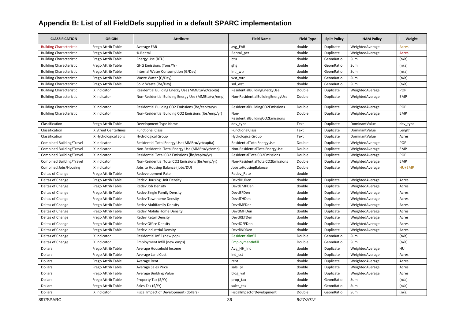# **Appendix B: List of all FieldDefs supplied in a default SPARC implementation**

| <b>CLASSIFICATION</b>           | <b>ORIGIN</b>         | <b>Attribute</b>                                    | <b>Field Name</b>                       | <b>Field Type</b> | <b>Split Policy</b> | <b>HAM Policy</b> | Weight       |
|---------------------------------|-----------------------|-----------------------------------------------------|-----------------------------------------|-------------------|---------------------|-------------------|--------------|
| <b>Building Characteristic</b>  | Frego Attrib Table    | Average FAR                                         | avg_FAR                                 | double            | Duplicate           | WeightedAverage   | <b>Acres</b> |
| <b>Building Characteristic</b>  | Frego Attrib Table    | % Rental                                            | Rental per                              | double            | Duplicate           | WeightedAverage   | <b>Acres</b> |
| <b>Building Characteristic</b>  | Frego Attrib Table    | Energy Use (BTU)                                    | btu                                     | double            | GeomRatio           | Sum               | (n/a)        |
| <b>Building Characteristic</b>  | Frego Attrib Table    | GHG Emissions (Tons/Yr)                             | ghg                                     | double            | GeomRatio           | Sum               | (n/a)        |
| <b>Building Characteristic</b>  | Frego Attrib Table    | Internal Water Consumption (G/Day)                  | intl wtr                                | double            | GeomRatio           | Sum               | (n/a)        |
| <b>Building Characteristic</b>  | Frego Attrib Table    | Waste Water (G/Day)                                 | wst_wtr                                 | double            | GeomRatio           | Sum               | (n/a)        |
| <b>Building Characteristic</b>  | Frego Attrib Table    | Solid Waste (lbs/Day)                               | sol_wst                                 | double            | GeomRatio           | Sum               | (n/a)        |
| <b>Building Characteristic</b>  | IX Indicator          | Residential Building Energy Use (MMBtu/yr/capita)   | ResidentialBuildingEnergyUse            | Double            | Duplicate           | WeightedAverage   | POP          |
| <b>Building Characteristic</b>  | IX Indicator          | Non-Residential Building Energy Use (MMBtu/yr/emp)  | Non-ResidentialBuildingEnergyUse        | Double            | Duplicate           | WeightedAverage   | <b>EMP</b>   |
| <b>Building Characteristic</b>  | IX Indicator          | Residential Building CO2 Emissions (lbs/capita/yr)  | ResidentialBuildingCO2Emissions         | Double            | Duplicate           | WeightedAverage   | POP          |
| <b>Building Characteristic</b>  | IX Indicator          | Non-Residential Building CO2 Emissions (lbs/emp/yr) | Non-<br>ResidentialBuildingCO2Emissions | Double            | Duplicate           | WeightedAverage   | <b>EMP</b>   |
| Classification                  | Frego Attrib Table    | Development Type Name                               | dev_type                                | Text              | Duplicate           | DominantValue     | dev_type     |
| Classification                  | IX Street Centerlines | <b>Functional Class</b>                             | FunctionalClass                         | Text              | Duplicate           | DominantValue     | Length       |
| Classification                  | IX Hydrological Soils | <b>Hydrological Group</b>                           | HydrologicalGroup                       | Text              | Duplicate           | DominantValue     | Acres        |
| <b>Combined Building/Travel</b> | IX Indicator          | Residential Total Energy Use (MMBtu/yr/capita)      | ResidentialTotalEnergyUse               | Double            | Duplicate           | WeightedAverage   | POP          |
| Combined Building/Travel        | IX Indicator          | Non-Residential Total Energy Use (MMBtu/yr/emp)     | Non-ResidentialTotalEnergyUse           | Double            | Duplicate           | WeightedAverage   | <b>EMP</b>   |
| Combined Building/Travel        | IX Indicator          | Residential Total CO2 Emissions (lbs/capita/yr)     | ResidentialTotalCO2Emissions            | Double            | Duplicate           | WeightedAverage   | POP          |
| Combined Building/Travel        | IX Indicator          | Non-Residential Total CO2 Emissions (lbs/emp/yr)    | Non-ResidentialTotalCO2Emissions        | Double            | Duplicate           | WeightedAverage   | <b>EMP</b>   |
| Combined Jobs/Housing           | IX Indicator          | Jobs to Housing Balance (jobs/DU)                   | JobstoHousingBalance                    | Double            | Duplicate           | WeightedAverage   | HU+EMP       |
| Deltas of Change                | Frego Attrib Table    | Redevelopment Rate                                  | Redev_Rate                              | double            |                     |                   |              |
| Deltas of Change                | Frego Attrib Table    | Redev Housing Unit Density                          | DevdHUDen                               | double            | Duplicate           | WeightedAverage   | Acres        |
| Deltas of Change                | Frego Attrib Table    | <b>Redev Job Density</b>                            | DevdEMPDen                              | double            | Duplicate           | WeightedAverage   | Acres        |
| Deltas of Change                | Frego Attrib Table    | Redev Single Family Density                         | DevdSFDen                               | double            | Duplicate           | WeightedAverage   | Acres        |
| Deltas of Change                | Frego Attrib Table    | <b>Redev Townhome Density</b>                       | DevdTHDen                               | double            | Duplicate           | WeightedAverage   | Acres        |
| Deltas of Change                | Frego Attrib Table    | <b>Redev Multifamily Density</b>                    | DevdMFDen                               | double            | Duplicate           | WeightedAverage   | Acres        |
| Deltas of Change                | Frego Attrib Table    | Redev Mobile Home Density                           | DevdMHDen                               | double            | Duplicate           | WeightedAverage   | Acres        |
| Deltas of Change                | Frego Attrib Table    | <b>Redev Retail Density</b>                         | DevdRETDen                              | double            | Duplicate           | WeightedAverage   | Acres        |
| Deltas of Change                | Frego Attrib Table    | <b>Redev Office Density</b>                         | DevdOFFDen                              | double            | Duplicate           | WeightedAverage   | Acres        |
| Deltas of Change                | Frego Attrib Table    | Redev Industrial Density                            | DevdINDDen                              | double            | Duplicate           | WeightedAverage   | Acres        |
| Deltas of Change                | IX Indicator          | Residential Infill (new pop)                        | ResidentialInfill                       | Double            | GeomRatio           | Sum               | (n/a)        |
| Deltas of Change                | IX Indicator          | Employment Infill (new emps)                        | EmploymentInfill                        | Double            | GeomRatio           | Sum               | (n/a)        |
| Dollars                         | Frego Attrib Table    | Average Household Income                            | Avg_HH_Inc                              | double            | Duplicate           | WeightedAverage   | HU           |
| Dollars                         | Frego Attrib Table    | Average Land Cost                                   | Ind cst                                 | double            | Duplicate           | WeightedAverage   | Acres        |
| Dollars                         | Frego Attrib Table    | Average Rent                                        | rent                                    | double            | Duplicate           | WeightedAverage   | Acres        |
| Dollars                         | Frego Attrib Table    | <b>Average Sales Price</b>                          | sale_pr                                 | double            | Duplicate           | WeightedAverage   | Acres        |
| Dollars                         | Frego Attrib Table    | <b>Average Building Value</b>                       | bldg_val                                | double            | Duplicate           | WeightedAverage   | Acres        |
| <b>Dollars</b>                  | Frego Attrib Table    | Property Tax (\$/Yr)                                | prop_tax                                | double            | GeomRatio           | Sum               | (n/a)        |
| <b>Dollars</b>                  | Frego Attrib Table    | Sales Tax (\$/Yr)                                   | sales tax                               | double            | GeomRatio           | Sum               | (n/a)        |
| Dollars                         | IX Indicator          | Fiscal Impact of Development (dollars)              | FiscalImpactofDevelopment               | Double            | GeomRatio           | Sum               | (n/a)        |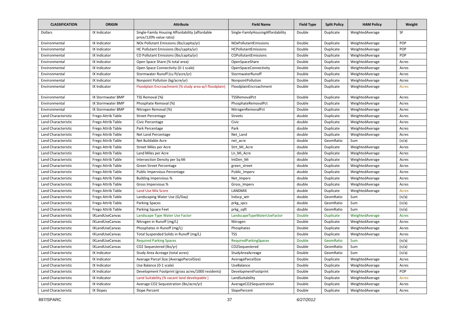| <b>CLASSIFICATION</b>      | <b>ORIGIN</b>            | <b>Attribute</b>                                                           | <b>Field Name</b>                 | <b>Field Type</b> | <b>Split Policy</b> | <b>HAM Policy</b> | Weight       |
|----------------------------|--------------------------|----------------------------------------------------------------------------|-----------------------------------|-------------------|---------------------|-------------------|--------------|
| <b>Dollars</b>             | IX Indicator             | Single-Family Housing Affordability (affordable<br>price/120% value ratio) | Single-FamilyHousingAffordability | Double            | Duplicate           | WeightedAverage   | SF           |
| Environmental              | IX Indicator             | NOx Pollutant Emissions (Ibs/capita/yr)                                    | NOxPollutantEmissions             | Double            | Duplicate           | WeightedAverage   | POP          |
| Environmental              | IX Indicator             | HC Pollutant Emissions (lbs/capita/yr)                                     | <b>HCPollutantEmissions</b>       | Double            | Duplicate           | WeightedAverage   | POP          |
| Environmental              | IX Indicator             | CO Pollutant Emissions (lbs/capita/yr)                                     | COPollutantEmissions              | Double            | Duplicate           | WeightedAverage   | POP          |
| Environmental              | IX Indicator             | Open Space Share (% total area)                                            | OpenSpaceShare                    | Double            | Duplicate           | WeightedAverage   | Acres        |
| Environmental              | IX Indicator             | Open Space Connectivity (0-1 scale)                                        | <b>OpenSpaceConnectivity</b>      | Double            | Duplicate           | WeightedAverage   | Acres        |
| Environmental              | IX Indicator             | Stormwater Runoff (cu ft/acre/yr)                                          | StormwaterRunoff                  | Double            | Duplicate           | WeightedAverage   | Acres        |
| Environmental              | IX Indicator             | Nonpoint Pollution (kg/acre/yr)                                            | NonpointPollution                 | Double            | Duplicate           | WeightedAverage   | Acres        |
| Environmental              | IX Indicator             | Floodplain Encroachment (% study area w/i floodplain)                      | FloodplainEncroachment            | Double            | Duplicate           | WeightedAverage   | <b>Acres</b> |
| Environmental              | IX Stormwater BMP        | TSS Removal (%)                                                            | TSSRemovalPct                     | Double            | Duplicate           | WeightedAverage   | Acres        |
| Environmental              | IX Stormwater BMP        | Phosphate Removal (%)                                                      | PhosphateRemovalPct               | Double            | Duplicate           | WeightedAverage   | Acres        |
| Environmental              | <b>IX Stormwater BMP</b> | Nitrogen Removal (%)                                                       | NitrogenRemovalPct                | Double            | Duplicate           | WeightedAverage   | Acres        |
| Land Characteristic        | Frego Attrib Table       | <b>Street Percentage</b>                                                   | <b>Streets</b>                    | double            | Duplicate           | WeightedAverage   | Acres        |
| Land Characteristic        | Frego Attrib Table       | Civic Percentage                                                           | Civic                             | double            | Duplicate           | WeightedAverage   | Acres        |
| Land Characteristic        | Frego Attrib Table       | Park Percentage                                                            | Park                              | double            | Duplicate           | WeightedAverage   | Acres        |
| Land Characteristic        | Frego Attrib Table       | Net Land Percentage                                                        | Net Land                          | double            | Duplicate           | WeightedAverage   | Acres        |
| Land Characteristic        | Frego Attrib Table       | Net Buildable Acre                                                         | net_acre                          | double            | GeomRatio           | Sum               | (n/a)        |
| Land Characteristic        | Frego Attrib Table       | <b>Street Miles per Acre</b>                                               | Strt Mi Acre                      | double            | Duplicate           | WeightedAverage   | Acres        |
| Land Characteristic        | Frego Attrib Table       | Land Miles per Acre                                                        | Ln Mi Acre                        | double            | Duplicate           | WeightedAverage   | Acres        |
| Land Characteristic        | Frego Attrib Table       | Intersection Density per Sq Mi                                             | IntDen Mi                         | double            | Duplicate           | WeightedAverage   | Acres        |
| <b>Land Characteristic</b> | Frego Attrib Table       | Green Street Percentage                                                    | green_street                      | double            | Duplicate           | WeightedAverage   | Acres        |
| Land Characteristic        | Frego Attrib Table       | Public Impervious Percentage                                               | Public Imperv                     | double            | Duplicate           | WeightedAverage   | Acres        |
| Land Characteristic        | Frego Attrib Table       | <b>Building Impervious %</b>                                               | Net Imperv                        | double            | Duplicate           | WeightedAverage   | Acres        |
| Land Characteristic        | Frego Attrib Table       | Gross Impervious %                                                         | Gross Imperv                      | double            | Duplicate           | WeightedAverage   | Acres        |
| <b>Land Characteristic</b> | Frego Attrib Table       | <b>Land Use Mix Score</b>                                                  | LANDMIX                           | double            | Duplicate           | WeightedAverage   | Acres        |
| Land Characteristic        | Frego Attrib Table       | Landscaping Water Use (G/Day)                                              | Indscp wtr                        | double            | GeomRatio           | Sum               | (n/a)        |
| Land Characteristic        | Frego Attrib Table       | <b>Parking Spaces</b>                                                      | prkg_spcs                         | double            | GeomRatio           | Sum               | (n/a)        |
| Land Characteristic        | Frego Attrib Table       | Parking Square Feet                                                        | prkg sqft                         | double            | GeomRatio           | Sum               | (n/a)        |
| Land Characteristic        | <b>IXLandUseCanvas</b>   | Landscape Type Water Use Factor                                            | LandscapeTypeWaterUseFactor       | Double            | <b>Duplicate</b>    | WeightedAverage   | Acres        |
| Land Characteristic        | IXLandUseCanvas          | Nitrogen in Runoff (mg/L)                                                  | Nitrogen                          | Double            | Duplicate           | WeightedAverage   | Acres        |
| Land Characteristic        | IXLandUseCanvas          | Phosphates in Runoff (mg/L)                                                | Phosphates                        | Double            | Duplicate           | WeightedAverage   | Acres        |
| Land Characteristic        | IXLandUseCanvas          | Total Suspended Solids in Runoff (mg/L)                                    | <b>TSS</b>                        | Double            | Duplicate           | WeightedAverage   | Acres        |
| Land Characteristic        | IXLandUseCanvas          | <b>Required Parking Spaces</b>                                             | <b>RequiredParkingSpaces</b>      | <b>Double</b>     | GeomRatio           | Sum               | (n/a)        |
| Land Characteristic        | IXLandUseCanvas          | CO2 Sequestered (lbs/yr)                                                   | CO2Sequestered                    | Double            | GeomRatio           | Sum               | (n/a)        |
| Land Characteristic        | IX Indicator             | Study Area Acreage (total acres)                                           | StudyAreaAcreage                  | Double            | GeomRatio           | Sum               | (n/a)        |
| Land Characteristic        | IX Indicator             | Average Parcel Size (AverageParcelSize)                                    | AverageParcelSize                 | Double            | Duplicate           | WeightedAverage   | Acres        |
| Land Characteristic        | IX Indicator             | Use Balance (0-1 scale)                                                    | UseBalance                        | Double            | Duplicate           | WeightedAverage   | Acres        |
| <b>Land Characteristic</b> | IX Indicator             | Development Footprint (gross acres/1000 residents)                         | DevelopmentFootprint              | Double            | Duplicate           | WeightedAverage   | POP          |
| Land Characteristic        | IX Indicator             | Land Suitability (% vacant land developable)                               | LandSuitability                   | Double            | Duplicate           | WeightedAverage   | <b>Acres</b> |
| Land Characteristic        | IX Indicator             | Average CO2 Sequestration (lbs/acre/yr)                                    | AverageCO2Sequestration           | Double            | Duplicate           | WeightedAverage   | Acres        |
| Land Characteristic        | IX Slopes                | Slope Percent                                                              | SlopePercent                      | Double            | Duplicate           | WeightedAverage   | Acres        |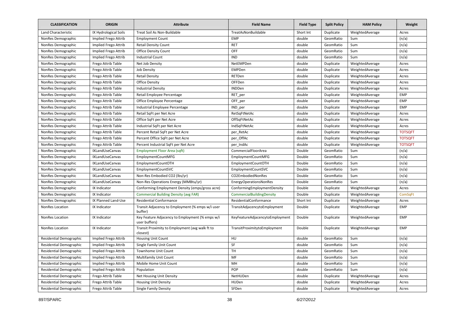| <b>CLASSIFICATION</b>          | <b>ORIGIN</b>          | <b>Attribute</b>                                                 | <b>Field Name</b>               | <b>Field Type</b> | <b>Split Policy</b> | <b>HAM Policy</b> | Weight         |
|--------------------------------|------------------------|------------------------------------------------------------------|---------------------------------|-------------------|---------------------|-------------------|----------------|
| Land Characteristic            | IX Hydrological Soils  | Treat Soil As Non-Buildable                                      | TreatAsNonBuildable             | Short Int         | Duplicate           | WeightedAverage   | Acres          |
| NonRes Demographic             | Implied Frego Attrib   | <b>Employment Count</b>                                          | <b>EMP</b>                      | double            | GeomRatio           | Sum               | (n/a)          |
| NonRes Demographic             | Implied Frego Attrib   | <b>Retail Density Count</b>                                      | <b>RET</b>                      | double            | GeomRatio           | Sum               | (n/a)          |
| NonRes Demographic             | Implied Frego Attrib   | <b>Office Density Count</b>                                      | OFF                             | double            | GeomRatio           | Sum               | (n/a)          |
| NonRes Demographic             | Implied Frego Attrib   | <b>Industrial Count</b>                                          | <b>IND</b>                      | double            | GeomRatio           | Sum               | (n/a)          |
| NonRes Demographic             | Frego Attrib Table     | Net Job Density                                                  | NetEMPDen                       | double            | Duplicate           | WeightedAverage   | Acres          |
| NonRes Demographic             | Frego Attrib Table     | Job Density                                                      | <b>EMPDen</b>                   | double            | Duplicate           | WeightedAverage   | Acres          |
| NonRes Demographic             | Frego Attrib Table     | <b>Retail Density</b>                                            | RETDen                          | double            | Duplicate           | WeightedAverage   | Acres          |
| NonRes Demographic             | Frego Attrib Table     | <b>Office Density</b>                                            | OFFDen                          | double            | Duplicate           | WeightedAverage   | Acres          |
| NonRes Demographic             | Frego Attrib Table     | <b>Industrial Density</b>                                        | <b>INDDen</b>                   | double            | Duplicate           | WeightedAverage   | Acres          |
| NonRes Demographic             | Frego Attrib Table     | Retail Employee Percentage                                       | RET_per                         | double            | Duplicate           | WeightedAverage   | <b>EMP</b>     |
| NonRes Demographic             | Frego Attrib Table     | Office Employee Percentage                                       | OFF per                         | double            | Duplicate           | WeightedAverage   | <b>EMP</b>     |
| NonRes Demographic             | Frego Attrib Table     | Industrial Employee Percentage                                   | IND per                         | double            | Duplicate           | WeightedAverage   | <b>EMP</b>     |
| NonRes Demographic             | Frego Attrib Table     | Retail SqFt per Net Acre                                         | RetSqFtNetAc                    | double            | Duplicate           | WeightedAverage   | Acres          |
| NonRes Demographic             | Frego Attrib Table     | Office SqFt per Net Acre                                         | OffSqFtNetAc                    | double            | Duplicate           | WeightedAverage   | Acres          |
| NonRes Demographic             | Frego Attrib Table     | Industrial SqFt per Net Acre                                     | IndSqFtNetAc                    | double            | Duplicate           | WeightedAverage   | Acres          |
| NonRes Demographic             | Frego Attrib Table     | Percent Retail SqFt per Net Acre                                 | per RetAc                       | double            | Duplicate           | WeightedAverage   | <b>TOTSQFT</b> |
| NonRes Demographic             | Frego Attrib Table     | Percent Office SqFt per Net Acre                                 | per OffAc                       | double            | Duplicate           | WeightedAverage   | <b>TOTSQFT</b> |
| NonRes Demographic             | Frego Attrib Table     | Percent Industrial SqFt per Net Acre                             | per_IndAc                       | double            | Duplicate           | WeightedAverage   | <b>TOTSQFT</b> |
| NonRes Demographic             | IXLandUseCanvas        | Employment Floor Area (sqft)                                     | CommercialFloorArea             | Double            | GeomRatio           | Sum               | (n/a)          |
| NonRes Demographic             | IXLandUseCanvas        | EmploymentCountMFG                                               | EmploymentCountMFG              | Double            | GeomRatio           | Sum               | (n/a)          |
| NonRes Demographic             | IXLandUseCanvas        | EmploymentCountOTH                                               | EmploymentCountOTH              | Double            | GeomRatio           | Sum               | (n/a)          |
| NonRes Demographic             | IXLandUseCanvas        | EmploymentCountSVC                                               | EmploymentCountSVC              | Double            | GeomRatio           | Sum               | (n/a)          |
| NonRes Demographic             | IXLandUseCanvas        | Non-Res Embodied CO2 (lbs/yr)                                    | CO2EmbodiedNonRes               | Double            | GeomRatio           | Sum               | (n/a)          |
| NonRes Demographic             | <b>IXLandUseCanvas</b> | Non-Res Operations Energy (MMBtu/yr)                             | EnergyOperationsNonRes          | Double            | GeomRatio           | Sum               | (n/a)          |
| NonRes Demographic             | IX Indicator           | Conforming Employment Density (emps/gross acre)                  | ConformingEmploymentDensity     | Double            | Duplicate           | WeightedAverage   | Acres          |
| NonRes Demographic             | IX Indicator           | <b>Commercial Building Density (avg FAR)</b>                     | CommercialBuildingDensity       | Double            | Duplicate           | WeightedAverage   | ComSqFt        |
| NonRes Demographic             | IX Planned Land-Use    | <b>Residential Conformance</b>                                   | ResidentialConformance          | Short Int         | Duplicate           | WeightedAverage   | Acres          |
| NonRes Location                | IX Indicator           | Transit Adjacency to Employment (% emps w/i user<br>buffer)      | TransitAdjacencytoEmployment    | Double            | Duplicate           | WeightedAverage   | <b>EMP</b>     |
| NonRes Location                | IX Indicator           | Key Feature Adjacency to Employment (% emps w/i<br>user buffers) | KeyFeatureAdjacencytoEmployment | Double            | Duplicate           | WeightedAverage   | <b>EMP</b>     |
| <b>NonRes Location</b>         | IX Indicator           | Transit Proximity to Employment (avg walk ft to<br>closest)      | TransitProximitytoEmployment    | Double            | Duplicate           | WeightedAverage   | <b>EMP</b>     |
| <b>Residential Demographic</b> | Implied Frego Attrib   | <b>Housing Unit Count</b>                                        | HU                              | double            | GeomRatio           | Sum               | (n/a)          |
| Residential Demographic        | Implied Frego Attrib   | Single Family Unit Count                                         | SF                              | double            | GeomRatio           | Sum               | (n/a)          |
| Residential Demographic        | Implied Frego Attrib   | Townhome Unit Count                                              | TH                              | double            | GeomRatio           | Sum               | (n/a)          |
| <b>Residential Demographic</b> | Implied Frego Attrib   | Multifamily Unit Count                                           | MF                              | double            | GeomRatio           | Sum               | (n/a)          |
| Residential Demographic        | Implied Frego Attrib   | Mobile Home Unit Count                                           | MH                              | double            | GeomRatio           | Sum               | (n/a)          |
| Residential Demographic        | Implied Frego Attrib   | Population                                                       | POP                             | double            | GeomRatio           | Sum               | (n/a)          |
| <b>Residential Demographic</b> | Frego Attrib Table     | <b>Net Housing Unit Density</b>                                  | NetHUDen                        | double            | Duplicate           | WeightedAverage   | Acres          |
| <b>Residential Demographic</b> | Frego Attrib Table     | <b>Housing Unit Density</b>                                      | HUDen                           | double            | Duplicate           | WeightedAverage   | Acres          |
| <b>Residential Demographic</b> | Frego Attrib Table     | <b>Single Family Density</b>                                     | SFDen                           | double            | Duplicate           | WeightedAverage   | Acres          |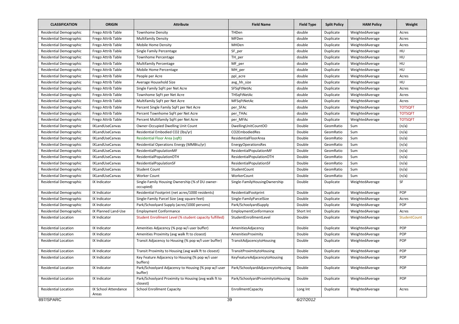| <b>CLASSIFICATION</b>          | <b>ORIGIN</b>                 | <b>Attribute</b>                                                 | <b>Field Name</b>                 | <b>Field Type</b> | <b>Split Policy</b> | <b>HAM Policy</b> | Weight         |
|--------------------------------|-------------------------------|------------------------------------------------------------------|-----------------------------------|-------------------|---------------------|-------------------|----------------|
| <b>Residential Demographic</b> | Frego Attrib Table            | <b>Townhome Density</b>                                          | THDen                             | double            | Duplicate           | WeightedAverage   | Acres          |
| <b>Residential Demographic</b> | Frego Attrib Table            | <b>Multifamily Density</b>                                       | MFDen                             | double            | Duplicate           | WeightedAverage   | Acres          |
| <b>Residential Demographic</b> | Frego Attrib Table            | Mobile Home Density                                              | MHDen                             | double            | Duplicate           | WeightedAverage   | Acres          |
| <b>Residential Demographic</b> | Frego Attrib Table            | Single Family Percentage                                         | SF_per                            | double            | Duplicate           | WeightedAverage   | HU             |
| <b>Residential Demographic</b> | Frego Attrib Table            | <b>Townhome Percentage</b>                                       | TH_per                            | double            | Duplicate           | WeightedAverage   | HU             |
| <b>Residential Demographic</b> | Frego Attrib Table            | <b>Multifamily Percentage</b>                                    | MF_per                            | double            | Duplicate           | WeightedAverage   | HU             |
| <b>Residential Demographic</b> | Frego Attrib Table            | Mobile Home Percentage                                           | MH per                            | double            | Duplicate           | WeightedAverage   | HU             |
| Residential Demographic        | Frego Attrib Table            | People per Acre                                                  | ppl_acre                          | double            | Duplicate           | WeightedAverage   | Acres          |
| Residential Demographic        | Frego Attrib Table            | Average Household Size                                           | avg_hh_size                       | double            | Duplicate           | WeightedAverage   | HU             |
| <b>Residential Demographic</b> | Frego Attrib Table            | Single Family SqFt per Net Acre                                  | SFSqFtNetAc                       | double            | Duplicate           | WeightedAverage   | Acres          |
| Residential Demographic        | Frego Attrib Table            | Townhome SqFt per Net Acre                                       | THSqFtNetAc                       | double            | Duplicate           | WeightedAverage   | Acres          |
| Residential Demographic        | Frego Attrib Table            | Multifamily SqFt per Net Acre                                    | MFSqFtNetAc                       | double            | Duplicate           | WeightedAverage   | Acres          |
| Residential Demographic        | Frego Attrib Table            | Percent Single Family SqFt per Net Acre                          | per_SFAc                          | double            | Duplicate           | WeightedAverage   | <b>TOTSQFT</b> |
| Residential Demographic        | Frego Attrib Table            | Percent Townhome SqFt per Net Acre                               | per_THAc                          | double            | Duplicate           | WeightedAverage   | <b>TOTSQFT</b> |
| <b>Residential Demographic</b> | Frego Attrib Table            | Percent Multifamily SqFt per Net Acre                            | per_MFAc                          | double            | Duplicate           | WeightedAverage   | <b>TOTSQFT</b> |
| Residential Demographic        | IXLandUseCanvas               | Owner-Occupied Dwelling Unit Count                               | DwellingUnitCountOO               | Double            | GeomRatio           | Sum               | (n/a)          |
| <b>Residential Demographic</b> | <b>IXLandUseCanvas</b>        | Residential Embodied CO2 (lbs/yr)                                | CO2EmbodiedRes                    | Double            | GeomRatio           | Sum               | (n/a)          |
| <b>Residential Demographic</b> | IXLandUseCanvas               | Residential Floor Area (sqft)                                    | ResidentialFloorArea              | Double            | GeomRatio           | Sum               | (n/a)          |
| Residential Demographic        | <b>IXLandUseCanvas</b>        | Residential Operations Energy (MMBtu/yr)                         | <b>EnergyOperationsRes</b>        | Double            | GeomRatio           | Sum               | (n/a)          |
| <b>Residential Demographic</b> | IXLandUseCanvas               | ResidentialPopulationMF                                          | ResidentialPopulationMF           | Double            | GeomRatio           | Sum               | (n/a)          |
| <b>Residential Demographic</b> | IXLandUseCanvas               | ResidentialPopulationOTH                                         | ResidentialPopulationOTH          | Double            | GeomRatio           | Sum               | (n/a)          |
| Residential Demographic        | <b>IXLandUseCanvas</b>        | ResidentialPopulationSF                                          | ResidentialPopulationSF           | Double            | GeomRatio           | Sum               | (n/a)          |
| Residential Demographic        | IXLandUseCanvas               | <b>Student Count</b>                                             | StudentCount                      | Double            | GeomRatio           | Sum               | (n/a)          |
| Residential Demographic        | IXLandUseCanvas               | <b>Worker Count</b>                                              | WorkerCount                       | Double            | GeomRatio           | Sum               | (n/a)          |
| <b>Residential Demographic</b> | IX Indicator                  | Single-Family Housing Ownership (% sf DU owner-<br>occupied)     | Single-FamilyHousingOwnership     | Double            | Duplicate           | WeightedAverage   | SF             |
| Residential Demographic        | IX Indicator                  | Residential Footprint (net acres/1000 residents)                 | ResidentialFootprint              | Double            | Duplicate           | WeightedAverage   | POP            |
| <b>Residential Demographic</b> | IX Indicator                  | Single-Family Parcel Size (avg square feet)                      | Single-FamilyParcelSize           | Double            | Duplicate           | WeightedAverage   | Acres          |
| Residential Demographic        | IX Indicator                  | Park/Schoolyard Supply (acres/1000 persons)                      | Park/SchoolyardSupply             | Double            | Duplicate           | WeightedAverage   | POP            |
| <b>Residential Demographic</b> | IX Planned Land-Use           | <b>Employment Conformance</b>                                    | EmploymentConformance             | Short Int         | Duplicate           | WeightedAverage   | Acres          |
| <b>Residential Location</b>    | IX Indicator                  | Student Enrollment Level (% student capacity fulfilled)          | StudentEnrollmentLevel            | Double            | Duplicate           | WeightedAverage   | StudentCount   |
| <b>Residential Location</b>    | IX Indicator                  | Amenities Adjacency (% pop w/i user buffer)                      | AmenitiesAdjacency                | Double            | Duplicate           | WeightedAverage   | POP            |
| <b>Residential Location</b>    | IX Indicator                  | Amenities Proximity (avg walk ft to closest)                     | AmenitiesProximity                | Double            | Duplicate           | WeightedAverage   | POP            |
| <b>Residential Location</b>    | IX Indicator                  | Transit Adjacency to Housing (% pop w/l user buffer)             | TransitAdjacencytoHousing         | Double            | Duplicate           | WeightedAverage   | POP            |
| Residential Location           | IX Indicator                  | Transit Proximity to Housing (avg walk ft to closest)            | TransitProximitytoHousing         | Double            | Duplicate           | WeightedAverage   | POP            |
| <b>Residential Location</b>    | IX Indicator                  | Key Feature Adjacency to Housing (% pop w/i user<br>buffers)     | KeyFeatureAdjacencytoHousing      | Double            | Duplicate           | WeightedAverage   | POP            |
| Residential Location           | IX Indicator                  | Park/Schoolyard Adjacency to Housing (% pop w/I user<br>buffer)  | Park/SchoolyardAdjacencytoHousing | Double            | Duplicate           | WeightedAverage   | POP            |
| Residential Location           | IX Indicator                  | Park/Schoolyard Proximity to Housing (avg walk ft to<br>closest) | Park/SchoolyardProximitytoHousing | Double            | Duplicate           | WeightedAverage   | POP            |
| <b>Residential Location</b>    | IX School Attendance<br>Areas | <b>School Enrollment Capacity</b>                                | EnrollmentCapacity                | Long Int          | Duplicate           | WeightedAverage   | Acres          |
| 897/SPARC                      |                               |                                                                  | 39                                | 6/27/2012         |                     |                   |                |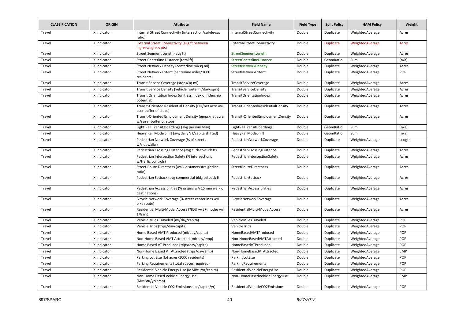| <b>CLASSIFICATION</b> | <b>ORIGIN</b> | <b>Attribute</b>                                                                | <b>Field Name</b>                  | <b>Field Type</b> | <b>Split Policy</b> | <b>HAM Policy</b> | Weight       |
|-----------------------|---------------|---------------------------------------------------------------------------------|------------------------------------|-------------------|---------------------|-------------------|--------------|
| Travel                | IX Indicator  | Internal Street Connectivity (intersection/cul-de-sac<br>ratio)                 | InternalStreetConnectivity         | Double            | Duplicate           | WeightedAverage   | Acres        |
| Travel                | IX Indicator  | <b>External Street Connectivity (avg ft between)</b><br>ingress/egress pts)     | ExternalStreetConnectivity         | Double            | <b>Duplicate</b>    | WeightedAverage   | <b>Acres</b> |
| Travel                | IX Indicator  | Street Segment Length (avg ft)                                                  | StreetSegmentLength                | Double            | Duplicate           | WeightedAverage   | Acres        |
| Travel                | IX Indicator  | Street Centerline Distance (total ft)                                           | StreetCenterlineDistance           | Double            | GeomRatio           | Sum               | (n/a)        |
| Travel                | IX Indicator  | Street Network Density (centerline mi/sq mi)                                    | StreetNetworkDensity               | Double            | Duplicate           | WeightedAverage   | Acres        |
| Travel                | IX Indicator  | Street Network Extent (centerline miles/1000<br>residents)                      | StreetNetworkExtent                | Double            | Duplicate           | WeightedAverage   | POP          |
| Travel                | IX Indicator  | Transit Service Coverage (stops/sq mi)                                          | TransitServiceCoverage             | Double            | Duplicate           | WeightedAverage   | Acres        |
| Travel                | IX Indicator  | Transit Service Density (vehicle route mi/day/sqmi)                             | TransitServiceDensity              | Double            | Duplicate           | WeightedAverage   | Acres        |
| Travel                | IX Indicator  | Transit Orientation Index (unitless index of ridership<br>potential)            | TransitOrientationIndex            | Double            | Duplicate           | WeightedAverage   | Acres        |
| Travel                | IX Indicator  | Transit-Oriented Residential Density (DU/net acre w/i<br>user buffer of stops)  | Transit-OrientedResidentialDensity | Double            | Duplicate           | WeightedAverage   | Acres        |
| Travel                | IX Indicator  | Transit-Oriented Employment Density (emps/net acre<br>w/i user buffer of stops) | Transit-OrientedEmploymentDensity  | Double            | Duplicate           | WeightedAverage   | Acres        |
| Travel                | IX Indicator  | Light Rail Transit Boardings (avg persons/day)                                  | LightRailTransitBoardings          | Double            | GeomRatio           | Sum               | (n/a)        |
| Travel                | IX Indicator  | Heavy Rail Mode Shift (avg daily VT/capita shifted)                             | HeavyRailModeShift                 | Double            | GeomRatio           | Sum               | (n/a)        |
| Travel                | IX Indicator  | Pedestrian Network Coverage (% of streets<br>w/sidewalks)                       | PedestrianNetworkCoverage          | Double            | Duplicate           | WeightedAverage   | Length       |
| Travel                | IX Indicator  | Pedestrian Crossing Distance (avg curb-to-curb ft)                              | PedestrianCrossingDistance         | Double            | Duplicate           | WeightedAverage   | Acres        |
| Travel                | IX Indicator  | Pedestrian Intersection Safety (% intersections<br>w/traffic controls)          | PedestrianIntersectionSafety       | Double            | Duplicate           | WeightedAverage   | Acres        |
| Travel                | IX Indicator  | Street Route Directness (walk distance/straightline<br>ratio)                   | StreetRouteDirectness              | Double            | Duplicate           | WeightedAverage   | Acres        |
| Travel                | IX Indicator  | Pedestrian Setback (avg commercial bldg setback ft)                             | PedestrianSetback                  | Double            | Duplicate           | WeightedAverage   | Acres        |
| Travel                | IX Indicator  | Pedestrian Accessibilities (% origins w/i 15 min walk of<br>destinations)       | PedestrianAccessibilities          | Double            | Duplicate           | WeightedAverage   | Acres        |
| Travel                | IX Indicator  | Bicycle Network Coverage (% street centerlines w/i<br>bike route)               | BicycleNetworkCoverage             | Double            | Duplicate           | WeightedAverage   | Acres        |
| Travel                | IX Indicator  | Residential Multi-Modal Access (%DU w/3+ modes w/i<br>$1/8$ mi)                 | ResidentialMulti-ModalAccess       | Double            | Duplicate           | WeightedAverage   | Acres        |
| Travel                | IX Indicator  | Vehicle Miles Traveled (mi/day/capita)                                          | VehicleMilesTraveled               | Double            | Duplicate           | WeightedAverage   | POP          |
| Travel                | IX Indicator  | Vehicle Trips (trips/day/capita)                                                | VehicleTrips                       | Double            | Duplicate           | WeightedAverage   | POP          |
| Travel                | IX Indicator  | Home Based VMT Produced (mi/day/capita)                                         | HomeBasedVMTProduced               | Double            | Duplicate           | WeightedAverage   | POP          |
| Travel                | IX Indicator  | Non-Home Based VMT Attracted (mi/day/emp)                                       | Non-HomeBasedVMTAttracted          | Double            | Duplicate           | WeightedAverage   | POP          |
| Travel                | IX Indicator  | Home Based VT Produced (trips/day/capita)                                       | HomeBasedVTProduced                | Double            | Duplicate           | WeightedAverage   | POP          |
| Travel                | IX Indicator  | Non-Home Based VT Attracted (trips/day/emp)                                     | Non-HomeBasedVTAttracted           | Double            | Duplicate           | WeightedAverage   | <b>EMP</b>   |
| Travel                | IX Indicator  | Parking Lot Size (lot acres/1000 residents)                                     | ParkingLotSize                     | Double            | Duplicate           | WeightedAverage   | POP          |
| Travel                | IX Indicator  | Parking Requirements (total spaces required)                                    | ParkingRequirements                | Double            | Duplicate           | WeightedAverage   | POP          |
| Travel                | IX Indicator  | Residential Vehicle Energy Use (MMBtu/yr/capita)                                | ResidentialVehicleEnergyUse        | Double            | Duplicate           | WeightedAverage   | POP          |
| Travel                | IX Indicator  | Non-Home Based Vehicle Energy Use<br>(MMBtu/yr/emp)                             | Non-HomeBasedVehicleEnergyUse      | Double            | Duplicate           | WeightedAverage   | <b>EMP</b>   |
| Travel                | IX Indicator  | Residential Vehicle CO2 Emissions (lbs/capita/yr)                               | ResidentialVehicleCO2Emissions     | Double            | Duplicate           | WeightedAverage   | POP          |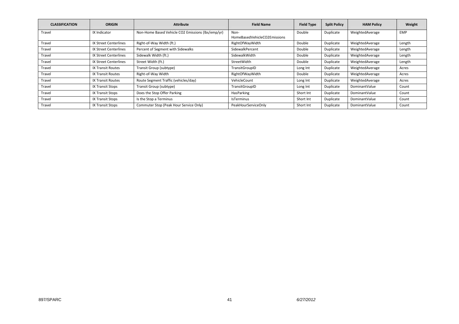| <b>CLASSIFICATION</b> | <b>ORIGIN</b>                | <b>Attribute</b>                                  | <b>Field Name</b>            | <b>Field Type</b> | <b>Split Policy</b> | <b>HAM Policy</b> | Weight     |
|-----------------------|------------------------------|---------------------------------------------------|------------------------------|-------------------|---------------------|-------------------|------------|
| Travel                | IX Indicator                 | Non-Home Based Vehicle CO2 Emissions (lbs/emp/yr) | Non-                         | Double            | Duplicate           | WeightedAverage   | <b>EMP</b> |
|                       |                              |                                                   | HomeBasedVehicleCO2Emissions |                   |                     |                   |            |
| Travel                | <b>IX Street Centerlines</b> | Right-of-Way Width (ft.)                          | RightOfWayWidth              | Double            | Duplicate           | WeightedAverage   | Length     |
| Travel                | <b>IX Street Centerlines</b> | Percent of Segment with Sidewalks                 | SidewalkPercent              | Double            | Duplicate           | WeightedAverage   | Length     |
| Travel                | <b>IX Street Centerlines</b> | Sidewalk Width (ft.)                              | SidewalkWidth                | Double            | Duplicate           | WeightedAverage   | Length     |
| Travel                | <b>IX Street Centerlines</b> | Street Width (ft.)                                | StreetWidth                  | Double            | Duplicate           | WeightedAverage   | Length     |
| Travel                | <b>IX Transit Routes</b>     | Transit Group (subtype)                           | TransitGroupID               | Long Int          | Duplicate           | WeightedAverage   | Acres      |
| Travel                | <b>IX Transit Routes</b>     | Right-of-Way Width                                | RightOfWayWidth              | Double            | Duplicate           | WeightedAverage   | Acres      |
| Travel                | <b>IX Transit Routes</b>     | Route Segment Traffic (vehicles/day)              | VehicleCount                 | Long Int          | Duplicate           | WeightedAverage   | Acres      |
| Travel                | <b>IX Transit Stops</b>      | Transit Group (subtype)                           | TransitGroupID               | Long Int          | Duplicate           | DominantValue     | Count      |
| Travel                | IX Transit Stops             | Does the Stop Offer Parking                       | HasParking                   | Short Int         | Duplicate           | DominantValue     | Count      |
| Travel                | <b>IX Transit Stops</b>      | Is the Stop a Terminus                            | <b>IsTerminus</b>            | Short Int         | Duplicate           | DominantValue     | Count      |
| Travel                | <b>IX Transit Stops</b>      | Commuter Stop (Peak Hour Service Only)            | PeakHourServiceOnly          | Short Int         | Duplicate           | DominantValue     | Count      |